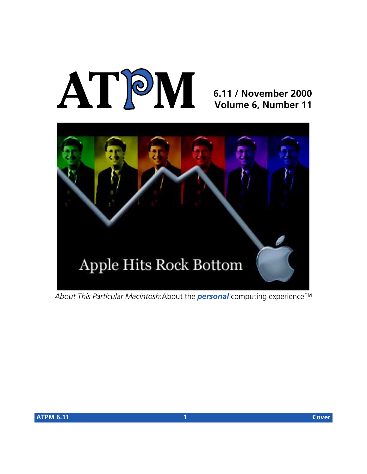# **AT**P**M**

# **6.11 / November 2000 Volume 6, Number 11**



*About This Particular Macintosh*:About the *personal* computing experience™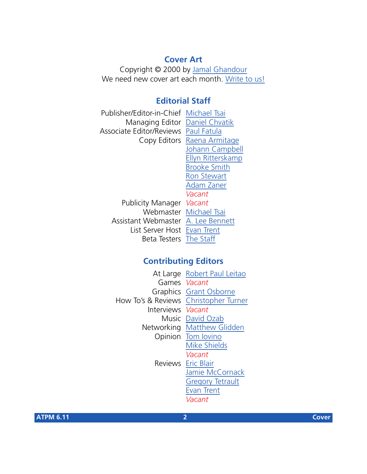## **Cover Art**

Copyright © 2000 by [Jamal Ghandour](mailto:jghandour@atpm.com) We need new cover art each month. [Write to us!](mailto:cover-art@atpm.com)

# **Editorial Staff**

Publisher/Editor-in-Chief [Michael Tsai](mailto:mtsai@atpm.com) Managing Editor [Daniel Chvatik](mailto:dchvatik@atpm.com) Associate Editor/Reviews [Paul Fatula](mailto:pfatula@atpm.com) Copy Editors [Raena Armitage](mailto:rarmitage@atpm.com) [Johann Campbell](mailto:jcampbell@atpm.com) [Ellyn Ritterskamp](mailto:eritterskamp@atpm.com) [Brooke Smith](mailto:bsmith@atpm.com) [Ron Stewart](mailto:rstewart@atpm.com) [Adam Zaner](mailto:azaner@atpm.com) *Vacant* Publicity Manager *Vacant* Webmaster [Michael Tsai](mailto:mtsai@atpm.com) Assistant Webmaster [A. Lee Bennett](mailto:lbennett@atpm.com) List Server Host [Evan Trent](mailto:etrent@atpm.com) Beta Testers [The Staff](mailto:editor@atpm.com)

# **Contributing Editors**

|                                       | At Large Robert Paul Leitao |
|---------------------------------------|-----------------------------|
| Games Vacant                          |                             |
|                                       | Graphics Grant Osborne      |
| How To's & Reviews Christopher Turner |                             |
| Interviews Vacant                     |                             |
|                                       | Music David Ozab            |
|                                       | Networking Matthew Glidden  |
|                                       | Opinion Tom lovino          |
|                                       | <b>Mike Shields</b>         |
|                                       | Vacant                      |
|                                       | Reviews Eric Blair          |
|                                       | Jamie McCornack             |
|                                       | <b>Gregory Tetrault</b>     |
|                                       | Evan Trent                  |
|                                       | Vacant                      |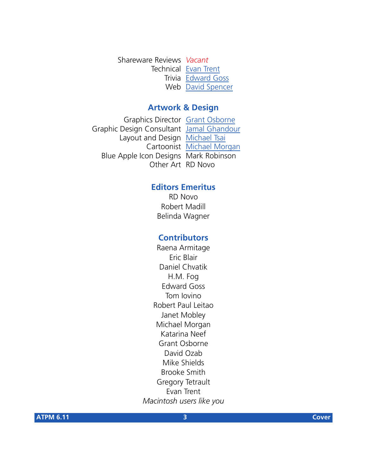Shareware Reviews *Vacant* Technical [Evan Trent](mailto:etrent@atpm.com) Trivia [Edward Goss](mailto:egoss@atpm.com) Web [David Spencer](mailto:dspencer@atpm.com)

#### **Artwork & Design**

Graphics Director [Grant Osborne](mailto:gosborne@atpm.com) Graphic Design Consultant [Jamal Ghandour](mailto:jghandour@atpm.com) Layout and Design [Michael Tsai](mailto:mtsai@atpm.com) Cartoonist [Michael Morgan](mailto:mmorgan@atpm.com) Blue Apple Icon Designs Mark Robinson Other Art RD Novo

#### **Editors Emeritus**

RD Novo Robert Madill Belinda Wagner

#### **Contributors**

Raena Armitage Eric Blair Daniel Chvatik H.M. Fog Edward Goss Tom Iovino Robert Paul Leitao Janet Mobley Michael Morgan Katarina Neef Grant Osborne David Ozab Mike Shields Brooke Smith Gregory Tetrault Evan Trent *Macintosh users like you*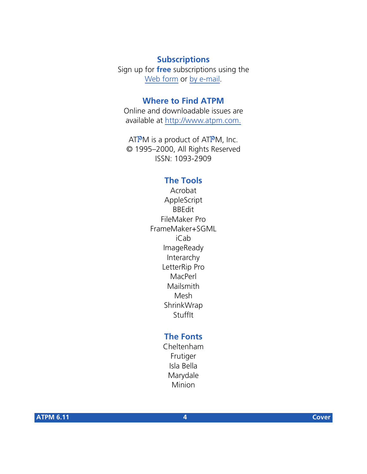# **Subscriptions**

Sign up for **free** subscriptions using the [Web form](http://www.atpm.com/subscribe/) or [by e-mail.](mailto:subscriptions@atpm.com)

## **Where to Find ATPM**

Online and downloadable issues are available at [http://www.atpm.com.](http://www.atpm.com)

ATPM is a product of ATPM, Inc. © 1995–2000, All Rights Reserved ISSN: 1093-2909

#### **The Tools**

Acrobat AppleScript BBEdit FileMaker Pro FrameMaker+SGML iCab ImageReady Interarchy LetterRip Pro MacPerl Mailsmith Mesh ShrinkWrap **StuffIt** 

# **The Fonts**

Cheltenham Frutiger Isla Bella Marydale Minion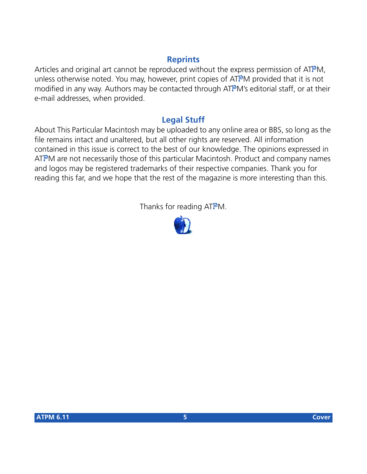# **Reprints**

Articles and original art cannot be reproduced without the express permission of ATPM, unless otherwise noted. You may, however, print copies of ATPM provided that it is not modified in any way. Authors may be contacted through ATPM's editorial staff, or at their e-mail addresses, when provided.

# **Legal Stuff**

About This Particular Macintosh may be uploaded to any online area or BBS, so long as the file remains intact and unaltered, but all other rights are reserved. All information contained in this issue is correct to the best of our knowledge. The opinions expressed in ATPM are not necessarily those of this particular Macintosh. Product and company names and logos may be registered trademarks of their respective companies. Thank you for reading this far, and we hope that the rest of the magazine is more interesting than this.

Thanks for reading ATPM.

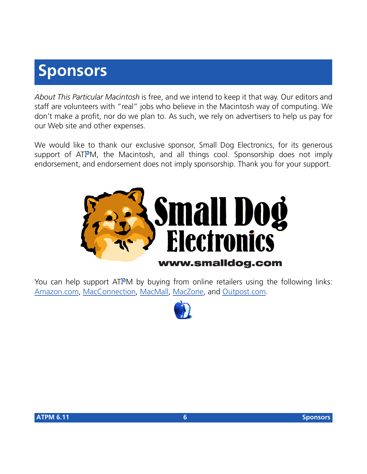# **Sponsors**

*About This Particular Macintosh* is free, and we intend to keep it that way. Our editors and staff are volunteers with "real" jobs who believe in the Macintosh way of computing. We don't make a profit, nor do we plan to. As such, we rely on advertisers to help us pay for our Web site and other expenses.

We would like to thank our exclusive sponsor, Small Dog Electronics, for its generous support of ATPM, the Macintosh, and all things cool. Sponsorship does not imply endorsement, and endorsement does not imply sponsorship. Thank you for your support.



You can help support ATPM by buying from online retailers using the following links: [Amazon.com](http://www.amazon.com/exec/obidos/redirect-home/aboutthisparticu), [MacConnection](http://service.bfast.com/bfast/click/mid9452939?siteid=13311227&bfpage=machomepage), [MacMall](http://www.commission-junction.com/track/track.dll?AID=53427&PID=297078&URL=http%3A%2F%2Fwww%2Emacmall%2Ecom%2Fmacaffiliate), [MacZone,](http://service.bfast.com/bfast/click?bfmid=1942029&siteid=26240435&bfpage=mac_zone) and [Outpost.com.](http://www.linksynergy.com/fs-bin/stat?id=N00D3BtDeo0&offerid=2161&type=3)

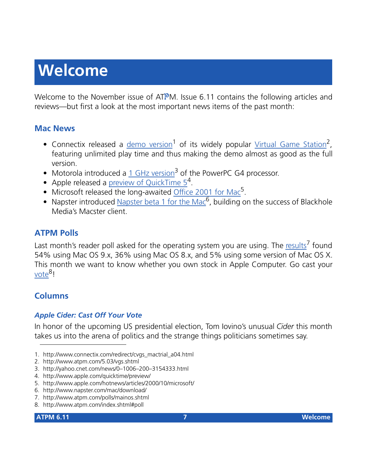# **Welcome**

Welcome to the November issue of ATPM. Issue 6.11 contains the following articles and reviews—but first a look at the most important news items of the past month:

## **Mac News**

- Connectix released a demo version<sup>1</sup> of its widely popular [Virtual Game Station](http://www.atpm.com/5.03/vgs.shtml)<sup>2</sup>, featuring unlimited play time and thus making the demo almost as good as the full version.
- Motorola introduced a 1 GHz version<sup>3</sup> of the PowerPC G4 processor.
- Apple released a preview of QuickTime  $5^4$ .
- Microsoft released the long-awaited Office 2001 for Mac<sup>5</sup>.
- Napster introduced Napster beta 1 for the Mac $<sup>6</sup>$ , building on the success of Blackhole</sup> Media's Macster client.

# **ATPM Polls**

Last month's reader poll asked for the operating system you are using. The results<sup>7</sup> found 54% using Mac OS 9.x, 36% using Mac OS 8.x, and 5% using some version of Mac OS X. This month we want to know whether you own stock in Apple Computer. Go cast your [vote](http://www.atpm.com/index.shtml#poll)<sup>8</sup>!

# **Columns**

# *Apple Cider: Cast Off Your Vote*

In honor of the upcoming US presidential election, Tom Iovino's unusual *Cider* this month takes us into the arena of politics and the strange things politicians sometimes say.

- 1. http://www.connectix.com/redirect/cvgs\_mactrial\_a04.html
- 2. http://www.atpm.com/5.03/vgs.shtml
- 3. http://yahoo.cnet.com/news/0–1006–200–3154333.html

- 5. http://www.apple.com/hotnews/articles/2000/10/microsoft/
- 6. http://www.napster.com/mac/download/
- 7. http://www.atpm.com/polls/mainos.shtml
- 8. http://www.atpm.com/index.shtml#poll

<sup>4.</sup> http://www.apple.com/quicktime/preview/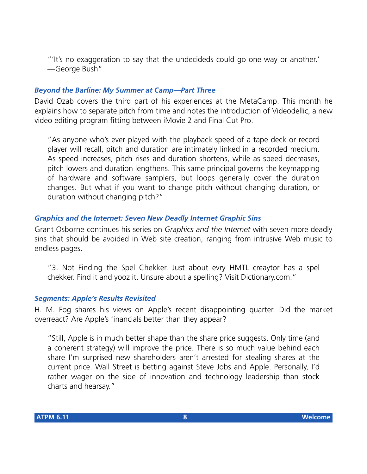"'It's no exaggeration to say that the undecideds could go one way or another.' —George Bush"

#### *Beyond the Barline: My Summer at Camp—Part Three*

David Ozab covers the third part of his experiences at the MetaCamp. This month he explains how to separate pitch from time and notes the introduction of Videodellic, a new video editing program fitting between iMovie 2 and Final Cut Pro.

"As anyone who's ever played with the playback speed of a tape deck or record player will recall, pitch and duration are intimately linked in a recorded medium. As speed increases, pitch rises and duration shortens, while as speed decreases, pitch lowers and duration lengthens. This same principal governs the keymapping of hardware and software samplers, but loops generally cover the duration changes. But what if you want to change pitch without changing duration, or duration without changing pitch?"

#### *Graphics and the Internet: Seven New Deadly Internet Graphic Sins*

Grant Osborne continues his series on *Graphics and the Internet* with seven more deadly sins that should be avoided in Web site creation, ranging from intrusive Web music to endless pages.

"3. Not Finding the Spel Chekker. Just about evry HMTL creaytor has a spel chekker. Find it and yooz it. Unsure about a spelling? Visit Dictionary.com."

#### *Segments: Apple's Results Revisited*

H. M. Fog shares his views on Apple's recent disappointing quarter. Did the market overreact? Are Apple's financials better than they appear?

"Still, Apple is in much better shape than the share price suggests. Only time (and a coherent strategy) will improve the price. There is so much value behind each share I'm surprised new shareholders aren't arrested for stealing shares at the current price. Wall Street is betting against Steve Jobs and Apple. Personally, I'd rather wager on the side of innovation and technology leadership than stock charts and hearsay."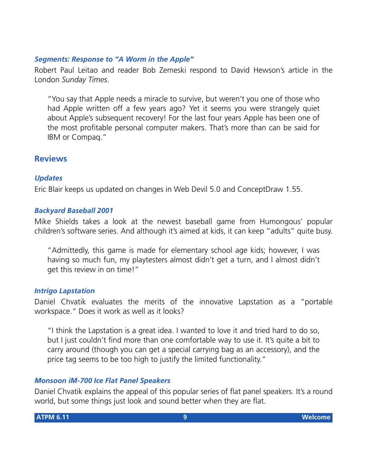#### *Segments: Response to "A Worm in the Apple"*

Robert Paul Leitao and reader Bob Zemeski respond to David Hewson's article in the London *Sunday Times*.

"You say that Apple needs a miracle to survive, but weren't you one of those who had Apple written off a few years ago? Yet it seems you were strangely quiet about Apple's subsequent recovery! For the last four years Apple has been one of the most profitable personal computer makers. That's more than can be said for IBM or Compaq."

#### **Reviews**

#### *Updates*

Eric Blair keeps us updated on changes in Web Devil 5.0 and ConceptDraw 1.55.

#### *Backyard Baseball 2001*

Mike Shields takes a look at the newest baseball game from Humongous' popular children's software series. And although it's aimed at kids, it can keep "adults" quite busy.

"Admittedly, this game is made for elementary school age kids; however, I was having so much fun, my playtesters almost didn't get a turn, and I almost didn't get this review in on time!"

#### *Intrigo Lapstation*

Daniel Chvatik evaluates the merits of the innovative Lapstation as a "portable workspace." Does it work as well as it looks?

"I think the Lapstation is a great idea. I wanted to love it and tried hard to do so, but I just couldn't find more than one comfortable way to use it. It's quite a bit to carry around (though you can get a special carrying bag as an accessory), and the price tag seems to be too high to justify the limited functionality."

#### *Monsoon iM-700 Ice Flat Panel Speakers*

Daniel Chvatik explains the appeal of this popular series of flat panel speakers. It's a round world, but some things just look and sound better when they are flat.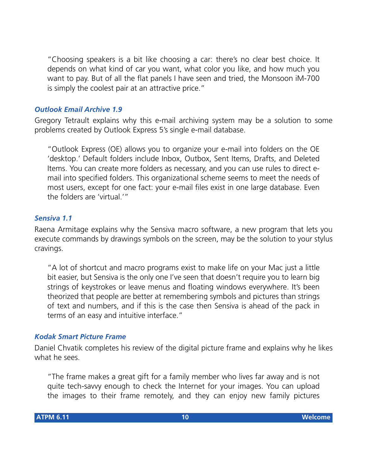"Choosing speakers is a bit like choosing a car: there's no clear best choice. It depends on what kind of car you want, what color you like, and how much you want to pay. But of all the flat panels I have seen and tried, the Monsoon iM-700 is simply the coolest pair at an attractive price."

#### *Outlook Email Archive 1.9*

Gregory Tetrault explains why this e-mail archiving system may be a solution to some problems created by Outlook Express 5's single e-mail database.

"Outlook Express (OE) allows you to organize your e-mail into folders on the OE 'desktop.' Default folders include Inbox, Outbox, Sent Items, Drafts, and Deleted Items. You can create more folders as necessary, and you can use rules to direct email into specified folders. This organizational scheme seems to meet the needs of most users, except for one fact: your e-mail files exist in one large database. Even the folders are 'virtual.'"

#### *Sensiva 1.1*

Raena Armitage explains why the Sensiva macro software, a new program that lets you execute commands by drawings symbols on the screen, may be the solution to your stylus cravings.

"A lot of shortcut and macro programs exist to make life on your Mac just a little bit easier, but Sensiva is the only one I've seen that doesn't require you to learn big strings of keystrokes or leave menus and floating windows everywhere. It's been theorized that people are better at remembering symbols and pictures than strings of text and numbers, and if this is the case then Sensiva is ahead of the pack in terms of an easy and intuitive interface."

#### *Kodak Smart Picture Frame*

Daniel Chvatik completes his review of the digital picture frame and explains why he likes what he sees.

"The frame makes a great gift for a family member who lives far away and is not quite tech-savvy enough to check the Internet for your images. You can upload the images to their frame remotely, and they can enjoy new family pictures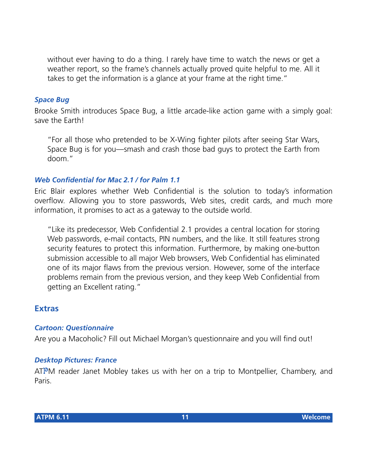without ever having to do a thing. I rarely have time to watch the news or get a weather report, so the frame's channels actually proved quite helpful to me. All it takes to get the information is a glance at your frame at the right time."

#### *Space Bug*

Brooke Smith introduces Space Bug, a little arcade-like action game with a simply goal: save the Earth!

"For all those who pretended to be X-Wing fighter pilots after seeing Star Wars, Space Bug is for you—smash and crash those bad guys to protect the Earth from doom."

#### *Web Confidential for Mac 2.1 / for Palm 1.1*

Eric Blair explores whether Web Confidential is the solution to today's information overflow. Allowing you to store passwords, Web sites, credit cards, and much more information, it promises to act as a gateway to the outside world.

"Like its predecessor, Web Confidential 2.1 provides a central location for storing Web passwords, e-mail contacts, PIN numbers, and the like. It still features strong security features to protect this information. Furthermore, by making one-button submission accessible to all major Web browsers, Web Confidential has eliminated one of its major flaws from the previous version. However, some of the interface problems remain from the previous version, and they keep Web Confidential from getting an Excellent rating."

#### **Extras**

#### *Cartoon: Questionnaire*

Are you a Macoholic? Fill out Michael Morgan's questionnaire and you will find out!

#### *Desktop Pictures: France*

ATPM reader Janet Mobley takes us with her on a trip to Montpellier, Chambery, and Paris.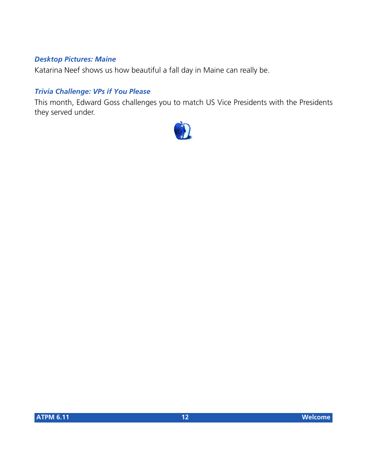#### *Desktop Pictures: Maine*

Katarina Neef shows us how beautiful a fall day in Maine can really be.

#### *Trivia Challenge: VPs if You Please*

This month, Edward Goss challenges you to match US Vice Presidents with the Presidents they served under.

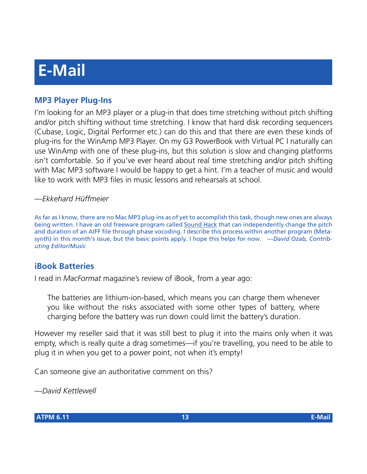# **E-Mail**

# **MP3 Player Plug-Ins**

I'm looking for an MP3 player or a plug-in that does time stretching without pitch shifting and/or pitch shifting without time stretching. I know that hard disk recording sequencers (Cubase, Logic, Digital Performer etc.) can do this and that there are even these kinds of plug-ins for the WinAmp MP3 Player. On my G3 PowerBook with Virtual PC I naturally can use WinAmp with one of these plug-ins, but this solution is slow and changing platforms isn't comfortable. So if you've ever heard about real time stretching and/or pitch shifting with Mac MP3 software I would be happy to get a hint. I'm a teacher of music and would like to work with MP3 files in music lessons and rehearsals at school.

#### *—Ekkehard Hüffmeier*

As far as I know, there are no Mac MP3 plug-ins as of yet to accomplish this task, though new ones are always being written. I have an old freeware program called [Sound Hack](http://shoko.calarts.edu/%7Etre/) that can independently change the pitch and duration of an AIFF file through phase vocoding. I describe this process within another program (Metasynth) in this month's issue, but the basic points apply. I hope this helps for now. *—David Ozab, Contributing Editor/Music*

## **iBook Batteries**

I read in *MacFormat* magazine's review of iBook, from a year ago:

The batteries are lithium-ion-based, which means you can charge them whenever you like without the risks associated with some other types of battery, where charging before the battery was run down could limit the battery's duration.

However my reseller said that it was still best to plug it into the mains only when it was empty, which is really quite a drag sometimes—if you're travelling, you need to be able to plug it in when you get to a power point, not when it's empty!

Can someone give an authoritative comment on this?

*—David Kettlewell*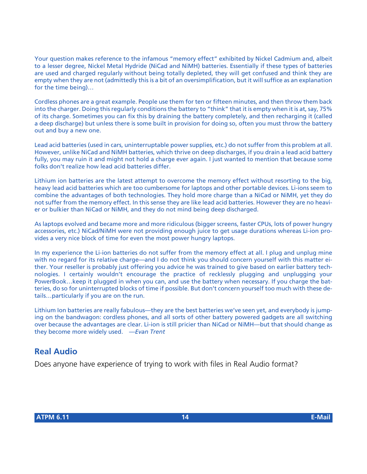Your question makes reference to the infamous "memory effect" exhibited by Nickel Cadmium and, albeit to a lesser degree, Nickel Metal Hydride (NiCad and NiMH) batteries. Essentially if these types of batteries are used and charged regularly without being totally depleted, they will get confused and think they are empty when they are not (admittedly this is a bit of an oversimplification, but it will suffice as an explanation for the time being)…

Cordless phones are a great example. People use them for ten or fifteen minutes, and then throw them back into the charger. Doing this regularly conditions the battery to "think" that it is empty when it is at, say, 75% of its charge. Sometimes you can fix this by draining the battery completely, and then recharging it (called a deep discharge) but unless there is some built in provision for doing so, often you must throw the battery out and buy a new one.

Lead acid batteries (used in cars, uninterruptable power supplies, etc.) do not suffer from this problem at all. However, unlike NiCad and NiMH batteries, which thrive on deep discharges, if you drain a lead acid battery fully, you may ruin it and might not hold a charge ever again. I just wanted to mention that because some folks don't realize how lead acid batteries differ.

Lithium ion batteries are the latest attempt to overcome the memory effect without resorting to the big, heavy lead acid batteries which are too cumbersome for laptops and other portable devices. Li-ions seem to combine the advantages of both technologies. They hold more charge than a NiCad or NiMH, yet they do not suffer from the memory effect. In this sense they are like lead acid batteries. However they are no heavier or bulkier than NiCad or NiMH, and they do not mind being deep discharged.

As laptops evolved and became more and more ridiculous (bigger screens, faster CPUs, lots of power hungry accessories, etc.) NiCad/NiMH were not providing enough juice to get usage durations whereas Li-ion provides a very nice block of time for even the most power hungry laptops.

In my experience the Li-ion batteries do not suffer from the memory effect at all. I plug and unplug mine with no regard for its relative charge—and I do not think you should concern yourself with this matter either. Your reseller is probably just offering you advice he was trained to give based on earlier battery technologies. I certainly wouldn't encourage the practice of recklessly plugging and unplugging your PowerBook…keep it plugged in when you can, and use the battery when necessary. If you charge the batteries, do so for uninterrupted blocks of time if possible. But don't concern yourself too much with these details…particularly if you are on the run.

Lithium Ion batteries are really fabulous—they are the best batteries we've seen yet, and everybody is jumping on the bandwagon: cordless phones, and all sorts of other battery powered gadgets are all switching over because the advantages are clear. Li-ion is still pricier than NiCad or NiMH—but that should change as they become more widely used. *—Evan Trent*

# **Real Audio**

Does anyone have experience of trying to work with files in Real Audio format?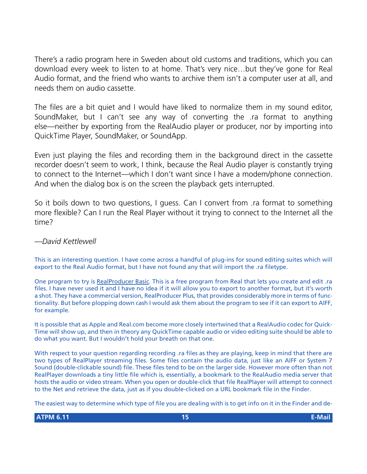There's a radio program here in Sweden about old customs and traditions, which you can download every week to listen to at home. That's very nice…but they've gone for Real Audio format, and the friend who wants to archive them isn't a computer user at all, and needs them on audio cassette.

The files are a bit quiet and I would have liked to normalize them in my sound editor, SoundMaker, but I can't see any way of converting the .ra format to anything else—neither by exporting from the RealAudio player or producer, nor by importing into QuickTime Player, SoundMaker, or SoundApp.

Even just playing the files and recording them in the background direct in the cassette recorder doesn't seem to work, I think, because the Real Audio player is constantly trying to connect to the Internet—which I don't want since I have a modem/phone connection. And when the dialog box is on the screen the playback gets interrupted.

So it boils down to two questions, I guess. Can I convert from .ra format to something more flexible? Can I run the Real Player without it trying to connect to the Internet all the time?

#### *—David Kettlewell*

This is an interesting question. I have come across a handful of plug-ins for sound editing suites which will export to the Real Audio format, but I have not found any that will import the .ra filetype.

One program to try is [RealProducer Basic.](http://www.realnetworks.com/products/producer/info.html) This is a free program from Real that lets you create and edit .ra files. I have never used it and I have no idea if it will allow you to export to another format, but it's worth a shot. They have a commercial version, RealProducer Plus, that provides considerably more in terms of functionality. But before plopping down cash I would ask them about the program to see if it can export to AIFF, for example.

It is possible that as Apple and Real.com become more closely intertwined that a RealAudio codec for Quick-Time will show up, and then in theory any QuickTime capable audio or video editing suite should be able to do what you want. But I wouldn't hold your breath on that one.

With respect to your question regarding recording .ra files as they are playing, keep in mind that there are two types of RealPlayer streaming files. Some files contain the audio data, just like an AIFF or System 7 Sound (double-clickable sound) file. These files tend to be on the larger side. However more often than not RealPlayer downloads a tiny little file which is, essentially, a bookmark to the RealAudio media server that hosts the audio or video stream. When you open or double-click that file RealPlayer will attempt to connect to the Net and retrieve the data, just as if you double-clicked on a URL bookmark file in the Finder.

The easiest way to determine which type of file you are dealing with is to get info on it in the Finder and de-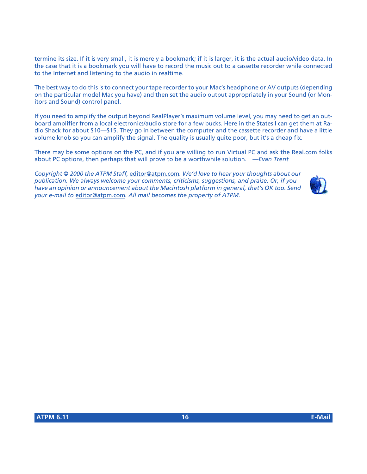termine its size. If it is very small, it is merely a bookmark; if it is larger, it is the actual audio/video data. In the case that it is a bookmark you will have to record the music out to a cassette recorder while connected to the Internet and listening to the audio in realtime.

The best way to do this is to connect your tape recorder to your Mac's headphone or AV outputs (depending on the particular model Mac you have) and then set the audio output appropriately in your Sound (or Monitors and Sound) control panel.

If you need to amplify the output beyond RealPlayer's maximum volume level, you may need to get an outboard amplifier from a local electronics/audio store for a few bucks. Here in the States I can get them at Radio Shack for about \$10—\$15. They go in between the computer and the cassette recorder and have a little volume knob so you can amplify the signal. The quality is usually quite poor, but it's a cheap fix.

There may be some options on the PC, and if you are willing to run Virtual PC and ask the Real.com folks about PC options, then perhaps that will prove to be a worthwhile solution. *—Evan Trent*

*Copyright © 2000 the ATPM Staff,* [editor@atpm.com](mailto:editor@atpm.com)*. We'd love to hear your thoughts about our publication. We always welcome your comments, criticisms, suggestions, and praise. Or, if you have an opinion or announcement about the Macintosh platform in general, that's OK too. Send your e-mail to* [editor@atpm.com](mailto:editor@atpm.com)*. All mail becomes the property of ATPM.*

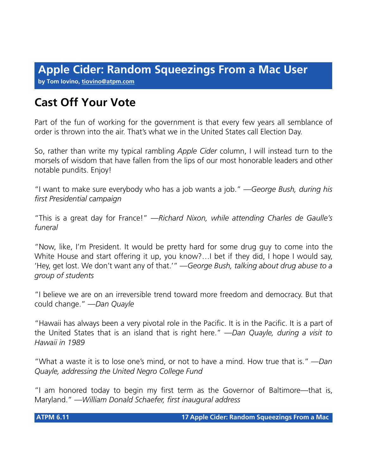**by Tom Iovino, [tiovino@atpm.com](mailto:tiovino@atpm.com)**

# **Cast Off Your Vote**

Part of the fun of working for the government is that every few years all semblance of order is thrown into the air. That's what we in the United States call Election Day.

So, rather than write my typical rambling *Apple Cider* column, I will instead turn to the morsels of wisdom that have fallen from the lips of our most honorable leaders and other notable pundits. Enjoy!

"I want to make sure everybody who has a job wants a job." *—George Bush, during his first Presidential campaign*

"This is a great day for France!" *—Richard Nixon, while attending Charles de Gaulle's funeral*

"Now, like, I'm President. It would be pretty hard for some drug guy to come into the White House and start offering it up, you know?... I bet if they did, I hope I would say, 'Hey, get lost. We don't want any of that.'" *—George Bush, talking about drug abuse to a group of students*

"I believe we are on an irreversible trend toward more freedom and democracy. But that could change." *—Dan Quayle*

"Hawaii has always been a very pivotal role in the Pacific. It is in the Pacific. It is a part of the United States that is an island that is right here." *—Dan Quayle, during a visit to Hawaii in 1989*

"What a waste it is to lose one's mind, or not to have a mind. How true that is." *—Dan Quayle, addressing the United Negro College Fund*

"I am honored today to begin my first term as the Governor of Baltimore—that is, Maryland." *—William Donald Schaefer, first inaugural address*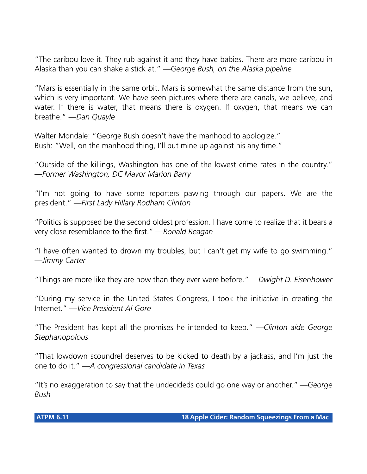"The caribou love it. They rub against it and they have babies. There are more caribou in Alaska than you can shake a stick at." *—George Bush, on the Alaska pipeline*

"Mars is essentially in the same orbit. Mars is somewhat the same distance from the sun, which is very important. We have seen pictures where there are canals, we believe, and water. If there is water, that means there is oxygen. If oxygen, that means we can breathe." *—Dan Quayle*

Walter Mondale: "George Bush doesn't have the manhood to apologize." Bush: "Well, on the manhood thing, I'll put mine up against his any time."

"Outside of the killings, Washington has one of the lowest crime rates in the country." *—Former Washington, DC Mayor Marion Barry*

"I'm not going to have some reporters pawing through our papers. We are the president." *—First Lady Hillary Rodham Clinton*

"Politics is supposed be the second oldest profession. I have come to realize that it bears a very close resemblance to the first." *—Ronald Reagan*

"I have often wanted to drown my troubles, but I can't get my wife to go swimming." *—Jimmy Carter*

"Things are more like they are now than they ever were before." *—Dwight D. Eisenhower*

"During my service in the United States Congress, I took the initiative in creating the Internet." *—Vice President Al Gore*

"The President has kept all the promises he intended to keep." *—Clinton aide George Stephanopolous*

"That lowdown scoundrel deserves to be kicked to death by a jackass, and I'm just the one to do it." *—A congressional candidate in Texas*

"It's no exaggeration to say that the undecideds could go one way or another." *—George Bush*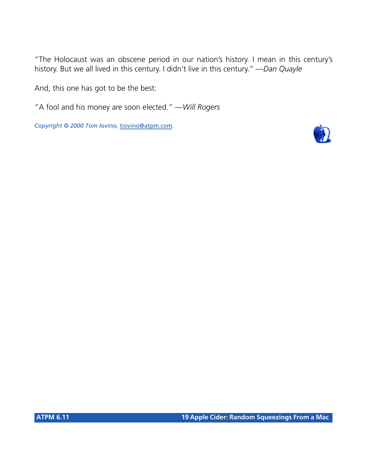"The Holocaust was an obscene period in our nation's history. I mean in this century's history. But we all lived in this century. I didn't live in this century." *—Dan Quayle*

And, this one has got to be the best:

"A fool and his money are soon elected." *—Will Rogers*

*Copyright © 2000 Tom Iovino,* [tiovino@atpm.com](mailto:tiovino@atpm.com)*.*

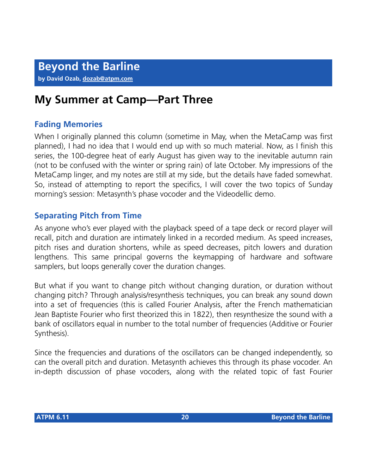# **My Summer at Camp—Part Three**

# **Fading Memories**

When I originally planned this column (sometime in May, when the MetaCamp was first planned), I had no idea that I would end up with so much material. Now, as I finish this series, the 100-degree heat of early August has given way to the inevitable autumn rain (not to be confused with the winter or spring rain) of late October. My impressions of the MetaCamp linger, and my notes are still at my side, but the details have faded somewhat. So, instead of attempting to report the specifics, I will cover the two topics of Sunday morning's session: Metasynth's phase vocoder and the Videodellic demo.

# **Separating Pitch from Time**

As anyone who's ever played with the playback speed of a tape deck or record player will recall, pitch and duration are intimately linked in a recorded medium. As speed increases, pitch rises and duration shortens, while as speed decreases, pitch lowers and duration lengthens. This same principal governs the keymapping of hardware and software samplers, but loops generally cover the duration changes.

But what if you want to change pitch without changing duration, or duration without changing pitch? Through analysis/resynthesis techniques, you can break any sound down into a set of frequencies (this is called Fourier Analysis, after the French mathematician Jean Baptiste Fourier who first theorized this in 1822), then resynthesize the sound with a bank of oscillators equal in number to the total number of frequencies (Additive or Fourier Synthesis).

Since the frequencies and durations of the oscillators can be changed independently, so can the overall pitch and duration. Metasynth achieves this through its phase vocoder. An in-depth discussion of phase vocoders, along with the related topic of fast Fourier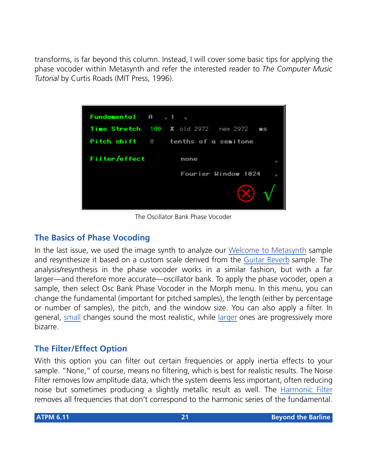transforms, is far beyond this column. Instead, I will cover some basic tips for applying the phase vocoder within Metasynth and refer the interested reader to *The Computer Music Tutorial* by Curtis Roads (MIT Press, 1996).



The Oscillator Bank Phase Vocoder

# **The Basics of Phase Vocoding**

In the last issue, we used the image synth to analyze our [Welcome to Metasynth](http://www.atpm.com/6.11/mp3/voice.mp3) sample and resynthesize it based on a custom scale derived from the [Guitar Reverb](http://www.atpm.com/6.11/mp3/guitar_rev.mp3) sample. The analysis/resynthesis in the phase vocoder works in a similar fashion, but with a far larger—and therefore more accurate—oscillator bank. To apply the phase vocoder, open a sample, then select Osc Bank Phase Vocoder in the Morph menu. In this menu, you can change the fundamental (important for pitched samples), the length (either by percentage or number of samples), the pitch, and the window size. You can also apply a filter. In general, [small](http://www.atpm.com/6.11/mp3/subtle.mp3) changes sound the most realistic, while [larger](http://www.atpm.com/6.11/mp3/extreme.mp3) ones are progressively more bizarre.

# **The Filter/Effect Option**

With this option you can filter out certain frequencies or apply inertia effects to your sample. "None," of course, means no filtering, which is best for realistic results. The Noise Filter removes low amplitude data, which the system deems less important, often reducing noise but sometimes producing a slightly metallic result as well. The [Harmonic Filter](http://www.atpm.com/6.11/mp3/harmonic.mp3) removes all frequencies that don't correspond to the harmonic series of the fundamental.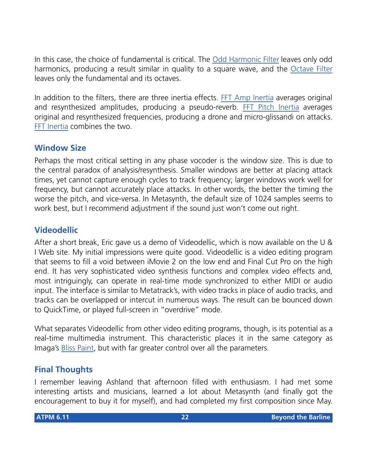In this case, the choice of fundamental is critical. The [Odd Harmonic Filter](http://www.atpm.com/6.11/mp3/oddharmonic.mp3) leaves only odd harmonics, producing a result similar in quality to a square wave, and the [Octave Filter](http://www.atpm.com/6.11/mp3/octaves.mp3) leaves only the fundamental and its octaves.

In addition to the filters, there are three inertia effects. [FFT Amp Inertia](http://www.atpm.com/6.11/mp3/fftamp.mp3) averages original and resynthesized amplitudes, producing a pseudo-reverb. [FFT Pitch Inertia](http://www.atpm.com/6.11/mp3/fftpitch.mp3) averages original and resynthesized frequencies, producing a drone and micro-glissandi on attacks. [FFT Inertia](http://www.atpm.com/6.11/mp3/fft.mp3) combines the two.

# **Window Size**

Perhaps the most critical setting in any phase vocoder is the window size. This is due to the central paradox of analysis/resynthesis. Smaller windows are better at placing attack times, yet cannot capture enough cycles to track frequency; larger windows work well for frequency, but cannot accurately place attacks. In other words, the better the timing the worse the pitch, and vice-versa. In Metasynth, the default size of 1024 samples seems to work best, but I recommend adjustment if the sound just won't come out right.

# **Videodellic**

After a short break, Eric gave us a demo of Videodellic, which is now available on the U & I Web site. My initial impressions were quite good. Videodellic is a video editing program that seems to fill a void between iMovie 2 on the low end and Final Cut Pro on the high end. It has very sophisticated video synthesis functions and complex video effects and, most intriguingly, can operate in real-time mode synchronized to either MIDI or audio input. The interface is similar to Metatrack's, with video tracks in place of audio tracks, and tracks can be overlapped or intercut in numerous ways. The result can be bounced down to QuickTime, or played full-screen in "overdrive" mode.

What separates Videodellic from other video editing programs, though, is its potential as a real-time multimedia instrument. This characteristic places it in the same category as Imaga's [Bliss Paint](http://www.imaja.com), but with far greater control over all the parameters.

# **Final Thoughts**

I remember leaving Ashland that afternoon filled with enthusiasm. I had met some interesting artists and musicians, learned a lot about Metasynth (and finally got the encouragement to buy it for myself), and had completed my first composition since May.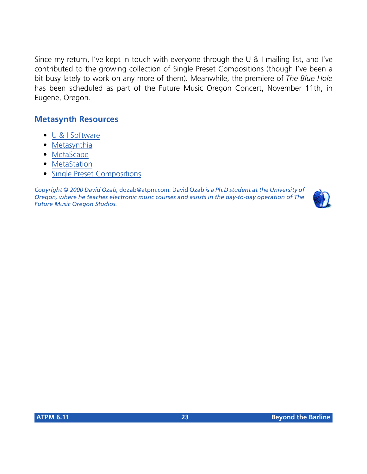Since my return, I've kept in touch with everyone through the U & I mailing list, and I've contributed to the growing collection of Single Preset Compositions (though I've been a bit busy lately to work on any more of them). Meanwhile, the premiere of *The Blue Hole* has been scheduled as part of the Future Music Oregon Concert, November 11th, in Eugene, Oregon.

# **Metasynth Resources**

- [U & I Software](http://uisoftware.com)
- [Metasynthia](http://homepage.mac.com/metasynthia)
- [MetaScape](http://artists.mp3s.com/artists/139/metascape.html)
- [MetaStation](http://stations.mp3s.com/stations/78/metastation.html)
- [Single Preset Compositions](http://www.mind.net/music/onepage.html)

*Copyright © 2000 David Ozab,* [dozab@atpm.com](mailto:dozab@atpm.com)*.* [David Ozab](http://darkwing.uoregon.edu/%7Edlo) *is a Ph.D student at the University of Oregon, where he teaches electronic music courses and assists in the day-to-day operation of The Future Music Oregon Studios.*

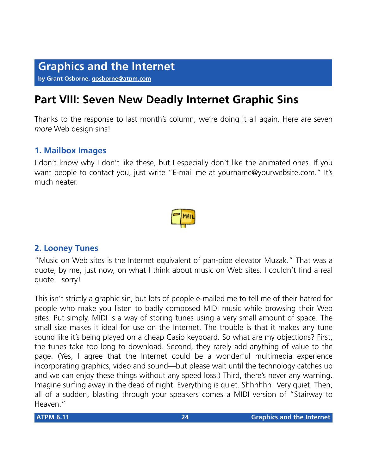#### **by Grant Osborne, [gosborne@atpm.com](mailto:gosborne@atpm.com)**

# **Part VIII: Seven New Deadly Internet Graphic Sins**

Thanks to the response to last month's column, we're doing it all again. Here are seven *more* Web design sins!

## **1. Mailbox Images**

I don't know why I don't like these, but I especially don't like the animated ones. If you want people to contact you, just write "E-mail me at yourname@yourwebsite.com." It's much neater.



## **2. Looney Tunes**

"Music on Web sites is the Internet equivalent of pan-pipe elevator Muzak." That was a quote, by me, just now, on what I think about music on Web sites. I couldn't find a real quote—sorry!

This isn't strictly a graphic sin, but lots of people e-mailed me to tell me of their hatred for people who make you listen to badly composed MIDI music while browsing their Web sites. Put simply, MIDI is a way of storing tunes using a very small amount of space. The small size makes it ideal for use on the Internet. The trouble is that it makes any tune sound like it's being played on a cheap Casio keyboard. So what are my objections? First, the tunes take too long to download. Second, they rarely add anything of value to the page. (Yes, I agree that the Internet could be a wonderful multimedia experience incorporating graphics, video and sound—but please wait until the technology catches up and we can enjoy these things without any speed loss.) Third, there's never any warning. Imagine surfing away in the dead of night. Everything is quiet. Shhhhhh! Very quiet. Then, all of a sudden, blasting through your speakers comes a MIDI version of "Stairway to Heaven."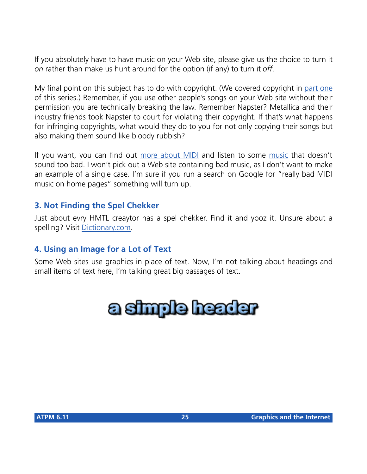If you absolutely have to have music on your Web site, please give us the choice to turn it *on* rather than make us hunt around for the option (if any) to turn it *off*.

My final point on this subject has to do with copyright. (We covered copyright in [part one](http://www.atpm.com/6.10/graphicsandtheinternet.shtml) of this series.) Remember, if you use other people's songs on your Web site without their permission you are technically breaking the law. Remember Napster? Metallica and their industry friends took Napster to court for violating their copyright. If that's what happens for infringing copyrights, what would they do to you for not only copying their songs but also making them sound like bloody rubbish?

If you want, you can find out [more about MIDI](http://www.midi.com/questions/default.asp) and listen to some [music](http://www.pennyblack.co.uk/) that doesn't sound too bad. I won't pick out a Web site containing bad music, as I don't want to make an example of a single case. I'm sure if you run a search on Google for "really bad MIDI music on home pages" something will turn up.

# **3. Not Finding the Spel Chekker**

Just about evry HMTL creaytor has a spel chekker. Find it and yooz it. Unsure about a spelling? Visit [Dictionary.com](http://www.dictionary.com).

# **4. Using an Image for a Lot of Text**

Some Web sites use graphics in place of text. Now, I'm not talking about headings and small items of text here, I'm talking great big passages of text.

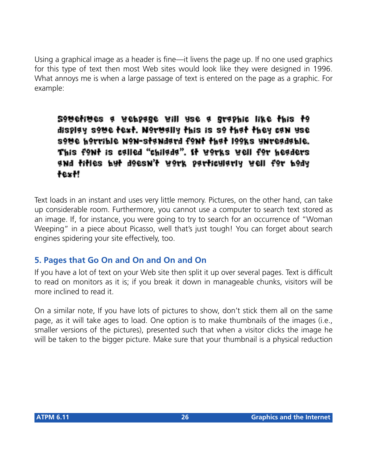Using a graphical image as a header is fine—it livens the page up. If no one used graphics for this type of text then most Web sites would look like they were designed in 1996. What annoys me is when a large passage of text is entered on the page as a graphic. For example:

soverives a vebpage vill use a graphic like this to display some text. Normally this is so that they can use sove horrible non-standard font that looks unreadable. This font is called "chilada". It works well for headers and titles but deesn't werk particularly well for bedy text!

Text loads in an instant and uses very little memory. Pictures, on the other hand, can take up considerable room. Furthermore, you cannot use a computer to search text stored as an image. If, for instance, you were going to try to search for an occurrence of "Woman Weeping" in a piece about Picasso, well that's just tough! You can forget about search engines spidering your site effectively, too.

# **5. Pages that Go On and On and On and On**

If you have a lot of text on your Web site then split it up over several pages. Text is difficult to read on monitors as it is; if you break it down in manageable chunks, visitors will be more inclined to read it.

On a similar note, If you have lots of pictures to show, don't stick them all on the same page, as it will take ages to load. One option is to make thumbnails of the images (i.e., smaller versions of the pictures), presented such that when a visitor clicks the image he will be taken to the bigger picture. Make sure that your thumbnail is a physical reduction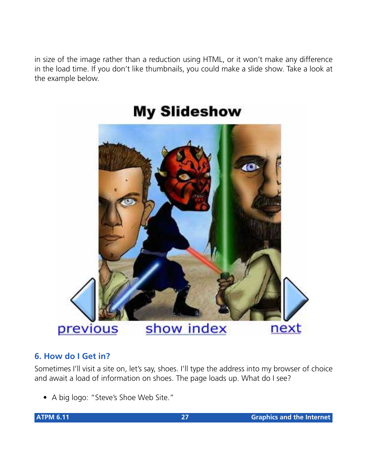in size of the image rather than a reduction using HTML, or it won't make any difference in the load time. If you don't like thumbnails, you could make a slide show. Take a look at the example below.



# **My Slideshow**

# **6. How do I Get in?**

Sometimes I'll visit a site on, let's say, shoes. I'll type the address into my browser of choice and await a load of information on shoes. The page loads up. What do I see?

• A big logo: "Steve's Shoe Web Site."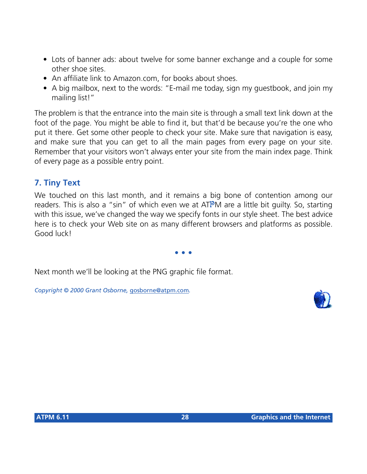- Lots of banner ads: about twelve for some banner exchange and a couple for some other shoe sites.
- An affiliate link to Amazon.com, for books about shoes.
- A big mailbox, next to the words: "E-mail me today, sign my guestbook, and join my mailing list!"

The problem is that the entrance into the main site is through a small text link down at the foot of the page. You might be able to find it, but that'd be because you're the one who put it there. Get some other people to check your site. Make sure that navigation is easy, and make sure that you can get to all the main pages from every page on your site. Remember that your visitors won't always enter your site from the main index page. Think of every page as a possible entry point.

# **7. Tiny Text**

We touched on this last month, and it remains a big bone of contention among our readers. This is also a "sin" of which even we at ATPM are a little bit guilty. So, starting with this issue, we've changed the way we specify fonts in our style sheet. The best advice here is to check your Web site on as many different browsers and platforms as possible. Good luck!

**• • •**

Next month we'll be looking at the PNG graphic file format.

*Copyright © 2000 Grant Osborne,* [gosborne@atpm.com](mailto:gosborne@atpm.com)*.*

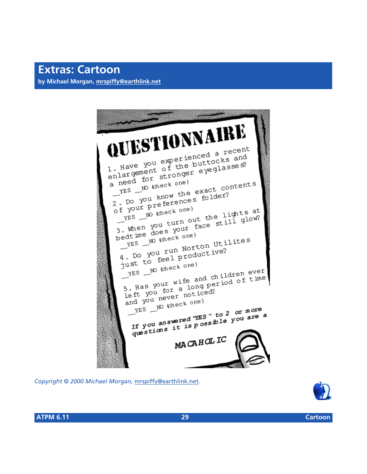# **Extras: Cartoon**

**by Michael Morgan, [mrspiffy@earthlink.net](mailto:mrspiffy@earthlink.net)**

IUESTIONNAIRE 1. Have you experienced a recent<br>1. Have you experienced a recent<br>1. Have you of the buttocks and 1. Have you experienced a recent<br>1. Have you experienced a recent<br>enlargement of the buttocks and<br>enlargement stronger eyeglasses? 1. Have you experient tocks and<br>enlargement of the buttocks and<br>enlargement of the buttocks and<br>a need for stronger eyeglasses? reed for strong<br>Fig. 10 kheck one) reed for survey<br>
The W check one)<br>
The exact contents<br>
2. Do you know the exact contents<br>
2. Do you know the exact contents  $\begin{array}{c} \mathcal{L}^{ES} \\ \mathcal{L} \\ \mathcal{L} \\ \mathcal{L} \\ \mathcal{L} \end{array}$  po you know the exact  $\mathcal{L}$ <br>  $\mathcal{L}$  po your preferences folder?  $YES \nightharpoonup W$  (check one) The work one)<br>The work one into the lights at<br>3. When you turn out the lights at<br>3. When you turn out face still glow?  $YES$  W check one the lights at<br>3. When you turn out the lights at<br>3. When you turn out the lights at<br>bedtime does your face still glow? stime does your<br>
YES \_\_ NO (check one) edtime doesek one)<br>
YES \_\_ No (check one)<br>
4. Do you run Norton Utilites<br>
4. Do you run Norton Utilites 4. Do you run Norton<br>4. Do you run Norton<br>just to feel productive?  $YES = W$  (check one)<br> $YES = W$  (check one)<br>5. Has your wife and children ever<br>5. Has your wife and children of time  $Y<sup>FS</sup>$ <br>5. Has your wife and children ever<br>left you for a long period of time<br>left you never noticed? 5. Has you for a long poor<br>left you never noticed?<br>and you never noticed? yes \_\_ No kheck one)  $YES$  NO (check one)<br>The year  $YES$  of  $XES$  is to 2 or more<br>The you answered "YES" to 2 or more If you answered "YES" to 2 or more a<br>If you answered "YES" to 2 or more a<br>questions it is possible you are a MACAHOLIC

*Copyright © 2000 Michael Morgan,* [mrspiffy@earthlink.net](mailto:mrspiffy@earthlink.net)*.*



**ATPM 6.11 29 Cartoon**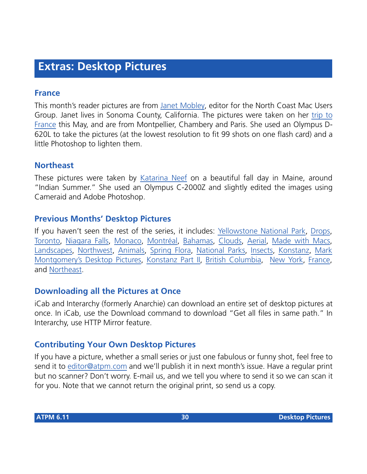# **Extras: Desktop Pictures**

#### **France**

This month's reader pictures are from [Janet Mobley](mailto:janmobley@home.com), editor for the North Coast Mac Users Group. Janet lives in Sonoma County, California. The pictures were taken on her [trip to](http://members.home.net/janmobley/) [France](http://members.home.net/janmobley/) this May, and are from Montpellier, Chambery and Paris. She used an Olympus D-620L to take the pictures (at the lowest resolution to fit 99 shots on one flash card) and a little Photoshop to lighten them.

# **Northeast**

These pictures were taken by [Katarina Neef](mailto:katarina@callypso.com) on a beautiful fall day in Maine, around "Indian Summer." She used an Olympus C-2000Z and slightly edited the images using Cameraid and Adobe Photoshop.

# **Previous Months' Desktop Pictures**

If you haven't seen the rest of the series, it includes: [Yellowstone National Park,](http://www.atpm.com/5.03/yellowstone.shtml) [Drops,](http://www.atpm.com/5.05/drops/) [Toronto](http://www.atpm.com/5.07/toronto/), [Niagara Falls](http://www.atpm.com/5.08/niagara/), [Monaco](http://www.atpm.com/5.09/monaco/), [Montréal](http://www.atpm.com/5.10/montreal/), [Bahamas](http://www.atpm.com/5.11/bahamas/), [Clouds](http://www.atpm.com/5.12/clouds/), [Aerial](http://www.atpm.com/6.01/aerial/), [Made with Macs,](http://www.atpm.com/6.02/madewithmacs/) [Landscapes](http://www.atpm.com/6.03/landscapes), [Northwest,](http://www.atpm.com/6.04/northwest/) [Animals](http://www.atpm.com/6.05/animals/), [Spring Flora,](http://www.atpm.com/6.06/spring-flora/) [National Parks](http://www.atpm.com/6.07/national-parks/), [Insects](http://www.atpm.com/6.08/insects/), [Konstanz](http://www.atpm.com/6.08/konstanz/), [Mark](http://www.atpm.com/6.09/montgomery/) [Montgomery's Desktop Pictures,](http://www.atpm.com/6.09/montgomery/) [Konstanz Part II](http://www.atpm.com/6.09/konstanz), [British Columbia,](http://www.atpm.com/6.10/british-columbia/) [New York,](http://www.atpm.com/6.10/new-york/) [France,](http://www.atpm.com/6.11/france/) and [Northeast](http://www.atpm.com/6.11/northeast/).

# **Downloading all the Pictures at Once**

iCab and Interarchy (formerly Anarchie) can download an entire set of desktop pictures at once. In iCab, use the Download command to download "Get all files in same path." In Interarchy, use HTTP Mirror feature.

# **Contributing Your Own Desktop Pictures**

If you have a picture, whether a small series or just one fabulous or funny shot, feel free to send it to [editor@atpm.com](mailto:editor@atpm.com) and we'll publish it in next month's issue. Have a regular print but no scanner? Don't worry. E-mail us, and we tell you where to send it so we can scan it for you. Note that we cannot return the original print, so send us a copy.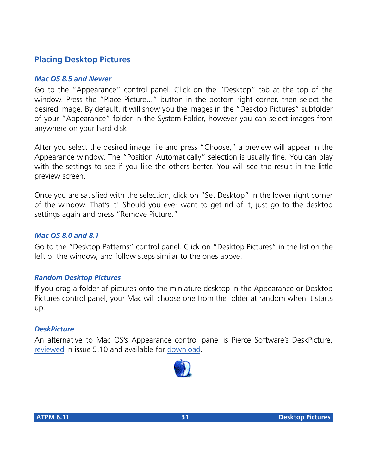# **Placing Desktop Pictures**

#### *Mac OS 8.5 and Newer*

Go to the "Appearance" control panel. Click on the "Desktop" tab at the top of the window. Press the "Place Picture..." button in the bottom right corner, then select the desired image. By default, it will show you the images in the "Desktop Pictures" subfolder of your "Appearance" folder in the System Folder, however you can select images from anywhere on your hard disk.

After you select the desired image file and press "Choose," a preview will appear in the Appearance window. The "Position Automatically" selection is usually fine. You can play with the settings to see if you like the others better. You will see the result in the little preview screen.

Once you are satisfied with the selection, click on "Set Desktop" in the lower right corner of the window. That's it! Should you ever want to get rid of it, just go to the desktop settings again and press "Remove Picture."

#### *Mac OS 8.0 and 8.1*

Go to the "Desktop Patterns" control panel. Click on "Desktop Pictures" in the list on the left of the window, and follow steps similar to the ones above.

#### *Random Desktop Pictures*

If you drag a folder of pictures onto the miniature desktop in the Appearance or Desktop Pictures control panel, your Mac will choose one from the folder at random when it starts up.

#### *DeskPicture*

[An alternative to Mac OS's Appearance control panel is Pierce Software's DeskPicture,](http://www.atpm.com/5.10/roundup.shtml) [reviewed](http://www.atpm.com/5.10/roundup.shtml) [in issue 5.10 and available for download](http://www.peircesw.com/DeskPicture.html).

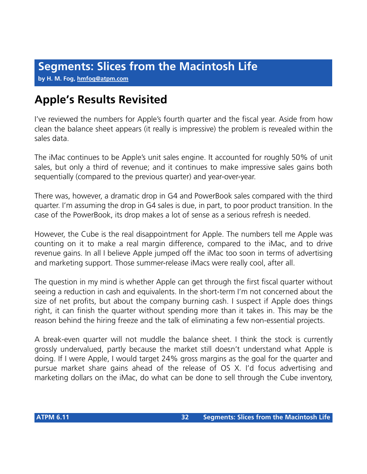**by H. M. Fog, [hmfog@atpm.com](mailto:hmfog@atpm.com)**

# **Apple's Results Revisited**

I've reviewed the numbers for Apple's fourth quarter and the fiscal year. Aside from how clean the balance sheet appears (it really is impressive) the problem is revealed within the sales data.

The iMac continues to be Apple's unit sales engine. It accounted for roughly 50% of unit sales, but only a third of revenue; and it continues to make impressive sales gains both sequentially (compared to the previous quarter) and year-over-year.

There was, however, a dramatic drop in G4 and PowerBook sales compared with the third quarter. I'm assuming the drop in G4 sales is due, in part, to poor product transition. In the case of the PowerBook, its drop makes a lot of sense as a serious refresh is needed.

However, the Cube is the real disappointment for Apple. The numbers tell me Apple was counting on it to make a real margin difference, compared to the iMac, and to drive revenue gains. In all I believe Apple jumped off the iMac too soon in terms of advertising and marketing support. Those summer-release iMacs were really cool, after all.

The question in my mind is whether Apple can get through the first fiscal quarter without seeing a reduction in cash and equivalents. In the short-term I'm not concerned about the size of net profits, but about the company burning cash. I suspect if Apple does things right, it can finish the quarter without spending more than it takes in. This may be the reason behind the hiring freeze and the talk of eliminating a few non-essential projects.

A break-even quarter will not muddle the balance sheet. I think the stock is currently grossly undervalued, partly because the market still doesn't understand what Apple is doing. If I were Apple, I would target 24% gross margins as the goal for the quarter and pursue market share gains ahead of the release of OS X. I'd focus advertising and marketing dollars on the iMac, do what can be done to sell through the Cube inventory,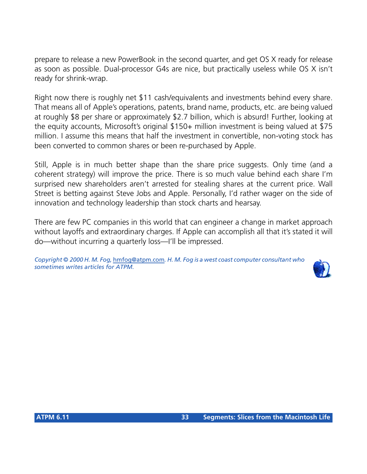prepare to release a new PowerBook in the second quarter, and get OS X ready for release as soon as possible. Dual-processor G4s are nice, but practically useless while OS X isn't ready for shrink-wrap.

Right now there is roughly net \$11 cash/equivalents and investments behind every share. That means all of Apple's operations, patents, brand name, products, etc. are being valued at roughly \$8 per share or approximately \$2.7 billion, which is absurd! Further, looking at the equity accounts, Microsoft's original \$150+ million investment is being valued at \$75 million. I assume this means that half the investment in convertible, non-voting stock has been converted to common shares or been re-purchased by Apple.

Still, Apple is in much better shape than the share price suggests. Only time (and a coherent strategy) will improve the price. There is so much value behind each share I'm surprised new shareholders aren't arrested for stealing shares at the current price. Wall Street is betting against Steve Jobs and Apple. Personally, I'd rather wager on the side of innovation and technology leadership than stock charts and hearsay.

There are few PC companies in this world that can engineer a change in market approach without layoffs and extraordinary charges. If Apple can accomplish all that it's stated it will do—without incurring a quarterly loss—I'll be impressed.

*Copyright © 2000 H. M. Fog,* [hmfog@atpm.com](mailto:hmfog@atpm.com)*. H. M. Fog is a west coast computer consultant who sometimes writes articles for ATPM.*

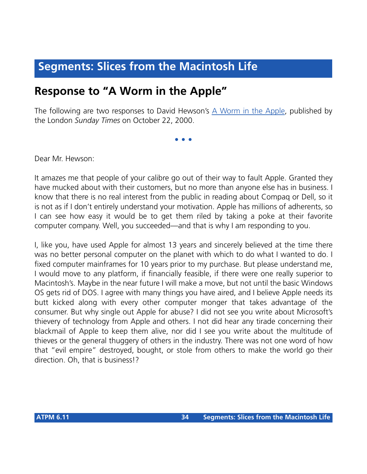# **Segments: Slices from the Macintosh Life**

# **Response to "A Worm in the Apple"**

The following are two responses to David Hewson's [A Worm in the Apple](http://www.sunday-times.co.uk/news/pages/sti/2000/10/22/stidordor01006.html), published by the London *Sunday Times* on October 22, 2000.

**• • •**

Dear Mr. Hewson:

It amazes me that people of your calibre go out of their way to fault Apple. Granted they have mucked about with their customers, but no more than anyone else has in business. I know that there is no real interest from the public in reading about Compaq or Dell, so it is not as if I don't entirely understand your motivation. Apple has millions of adherents, so I can see how easy it would be to get them riled by taking a poke at their favorite computer company. Well, you succeeded—and that is why I am responding to you.

I, like you, have used Apple for almost 13 years and sincerely believed at the time there was no better personal computer on the planet with which to do what I wanted to do. I fixed computer mainframes for 10 years prior to my purchase. But please understand me, I would move to any platform, if financially feasible, if there were one really superior to Macintosh's. Maybe in the near future I will make a move, but not until the basic Windows OS gets rid of DOS. I agree with many things you have aired, and I believe Apple needs its butt kicked along with every other computer monger that takes advantage of the consumer. But why single out Apple for abuse? I did not see you write about Microsoft's thievery of technology from Apple and others. I not did hear any tirade concerning their blackmail of Apple to keep them alive, nor did I see you write about the multitude of thieves or the general thuggery of others in the industry. There was not one word of how that "evil empire" destroyed, bought, or stole from others to make the world go their direction. Oh, that is business!?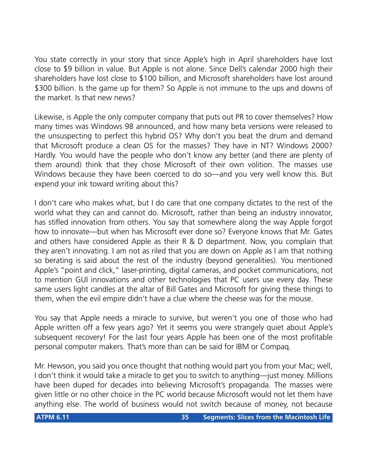You state correctly in your story that since Apple's high in April shareholders have lost close to \$9 billion in value. But Apple is not alone. Since Dell's calendar 2000 high their shareholders have lost close to \$100 billion, and Microsoft shareholders have lost around \$300 billion. Is the game up for them? So Apple is not immune to the ups and downs of the market. Is that new news?

Likewise, is Apple the only computer company that puts out PR to cover themselves? How many times was Windows 98 announced, and how many beta versions were released to the unsuspecting to perfect this hybrid OS? Why don't you beat the drum and demand that Microsoft produce a clean OS for the masses? They have in NT? Windows 2000? Hardly. You would have the people who don't know any better (and there are plenty of them around) think that they chose Microsoft of their own volition. The masses use Windows because they have been coerced to do so—and you very well know this. But expend your ink toward writing about this?

I don't care who makes what, but I do care that one company dictates to the rest of the world what they can and cannot do. Microsoft, rather than being an industry innovator, has stifled innovation from others. You say that somewhere along the way Apple forgot how to innovate—but when has Microsoft ever done so? Everyone knows that Mr. Gates and others have considered Apple as their R & D department. Now, you complain that they aren't innovating. I am not as riled that you are down on Apple as I am that nothing so berating is said about the rest of the industry (beyond generalities). You mentioned Apple's "point and click," laser-printing, digital cameras, and pocket communications, not to mention GUI innovations and other technologies that PC users use every day. These same users light candles at the altar of Bill Gates and Microsoft for giving these things to them, when the evil empire didn't have a clue where the cheese was for the mouse.

You say that Apple needs a miracle to survive, but weren't you one of those who had Apple written off a few years ago? Yet it seems you were strangely quiet about Apple's subsequent recovery! For the last four years Apple has been one of the most profitable personal computer makers. That's more than can be said for IBM or Compaq.

Mr. Hewson, you said you once thought that nothing would part you from your Mac; well, I don't think it would take a miracle to get you to switch to anything—just money. Millions have been duped for decades into believing Microsoft's propaganda. The masses were given little or no other choice in the PC world because Microsoft would not let them have anything else. The world of business would not switch because of money, not because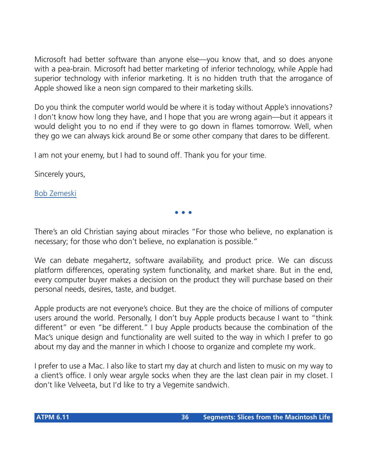Microsoft had better software than anyone else—you know that, and so does anyone with a pea-brain. Microsoft had better marketing of inferior technology, while Apple had superior technology with inferior marketing. It is no hidden truth that the arrogance of Apple showed like a neon sign compared to their marketing skills.

Do you think the computer world would be where it is today without Apple's innovations? I don't know how long they have, and I hope that you are wrong again—but it appears it would delight you to no end if they were to go down in flames tomorrow. Well, when they go we can always kick around Be or some other company that dares to be different.

I am not your enemy, but I had to sound off. Thank you for your time.

Sincerely yours,

[Bob Zemeski](mailto:bobzemeski@post1.com)

There's an old Christian saying about miracles "For those who believe, no explanation is necessary; for those who don't believe, no explanation is possible."

**• • •**

We can debate megahertz, software availability, and product price. We can discuss platform differences, operating system functionality, and market share. But in the end, every computer buyer makes a decision on the product they will purchase based on their personal needs, desires, taste, and budget.

Apple products are not everyone's choice. But they are the choice of millions of computer users around the world. Personally, I don't buy Apple products because I want to "think different" or even "be different." I buy Apple products because the combination of the Mac's unique design and functionality are well suited to the way in which I prefer to go about my day and the manner in which I choose to organize and complete my work.

I prefer to use a Mac. I also like to start my day at church and listen to music on my way to a client's office. I only wear argyle socks when they are the last clean pair in my closet. I don't like Velveeta, but I'd like to try a Vegemite sandwich.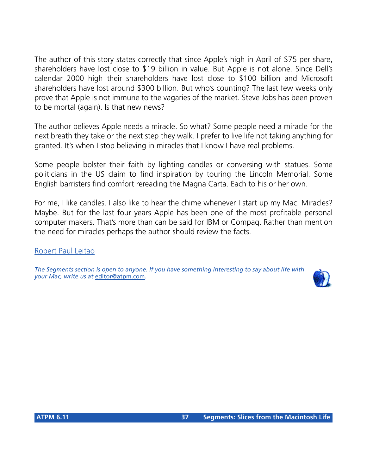The author of this story states correctly that since Apple's high in April of \$75 per share, shareholders have lost close to \$19 billion in value. But Apple is not alone. Since Dell's calendar 2000 high their shareholders have lost close to \$100 billion and Microsoft shareholders have lost around \$300 billion. But who's counting? The last few weeks only prove that Apple is not immune to the vagaries of the market. Steve Jobs has been proven to be mortal (again). Is that new news?

The author believes Apple needs a miracle. So what? Some people need a miracle for the next breath they take or the next step they walk. I prefer to live life not taking anything for granted. It's when I stop believing in miracles that I know I have real problems.

Some people bolster their faith by lighting candles or conversing with statues. Some politicians in the US claim to find inspiration by touring the Lincoln Memorial. Some English barristers find comfort rereading the Magna Carta. Each to his or her own.

For me, I like candles. I also like to hear the chime whenever I start up my Mac. Miracles? Maybe. But for the last four years Apple has been one of the most profitable personal computer makers. That's more than can be said for IBM or Compaq. Rather than mention the need for miracles perhaps the author should review the facts.

[Robert Paul Leitao](mailto:rleitao@atpm.com)

*The Segments section is open to anyone. If you have something interesting to say about life with your Mac, write us at* [editor@atpm.com](mailto:editor@atpm.com)*.*

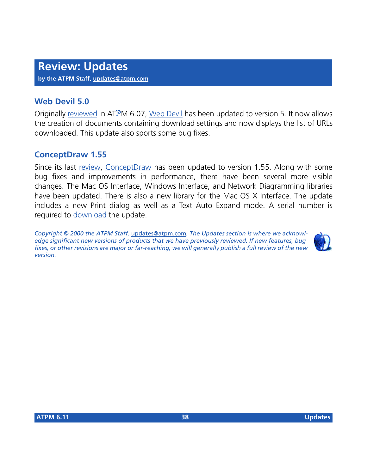## **Web Devil 5.0**

Originally [reviewed](http://www.atpm.com/6.07/web-devil.shtml) in ATPM 6.07, [Web Devil](http://chaotic.digitalchainsaw.com/products/Web-devil-50.hqx) has been updated to version 5. It now allows the creation of documents containing download settings and now displays the list of URLs downloaded. This update also sports some bug fixes.

## **ConceptDraw 1.55**

Since its last [review,](http://www.atpm.com/6.10/conceptdraw.shtml) [ConceptDraw](http://www.conceptdraw.com) has been updated to version 1.55. Along with some bug fixes and improvements in performance, there have been several more visible changes. The Mac OS Interface, Windows Interface, and Network Diagramming libraries have been updated. There is also a new library for the Mac OS X Interface. The update includes a new Print dialog as well as a Text Auto Expand mode. A serial number is required to [download](http://www.conceptdraw.com.ua/resources/formloadh.phtml?v=mac&vp=155) the update.

*Copyright © 2000 the ATPM Staff,* [updates@atpm.com](mailto:updates@atpm.com)*. The Updates section is where we acknowledge significant new versions of products that we have previously reviewed. If new features, bug fixes, or other revisions are major or far-reaching, we will generally publish a full review of the new version.*

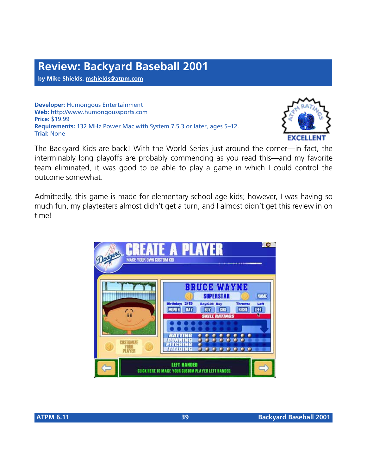**by Mike Shields, [mshields@atpm.com](mailto:dozab@atpm.com)**

**Developer:** Humongous Entertainment **Web:** <http://www.humongoussports.com> **Price:** \$19.99 **Requirements:** 132 MHz Power Mac with System 7.5.3 or later, ages 5–12. **Trial:** None



The Backyard Kids are back! With the World Series just around the corner—in fact, the interminably long playoffs are probably commencing as you read this—and my favorite team eliminated, it was good to be able to play a game in which I could control the outcome somewhat.

Admittedly, this game is made for elementary school age kids; however, I was having so much fun, my playtesters almost didn't get a turn, and I almost didn't get this review in on time!

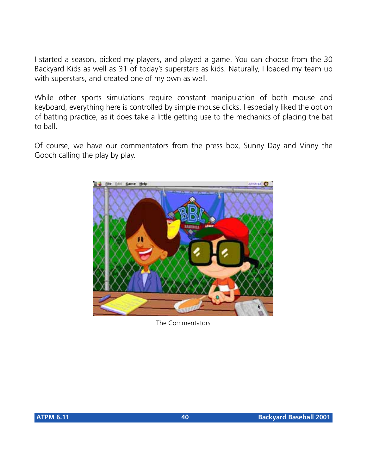I started a season, picked my players, and played a game. You can choose from the 30 Backyard Kids as well as 31 of today's superstars as kids. Naturally, I loaded my team up with superstars, and created one of my own as well.

While other sports simulations require constant manipulation of both mouse and keyboard, everything here is controlled by simple mouse clicks. I especially liked the option of batting practice, as it does take a little getting use to the mechanics of placing the bat to ball.

Of course, we have our commentators from the press box, Sunny Day and Vinny the Gooch calling the play by play.



The Commentators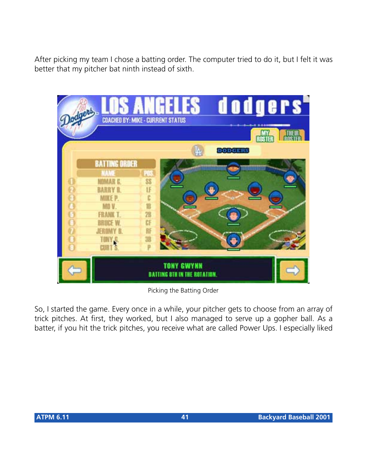After picking my team I chose a batting order. The computer tried to do it, but I felt it was better that my pitcher bat ninth instead of sixth.

| odgers  |                                                                   | dodgers"<br><b>ANGELES</b><br><b>COACHED BY: MIKE - CURRENT STATUS</b> |
|---------|-------------------------------------------------------------------|------------------------------------------------------------------------|
|         |                                                                   | <b>ROSTE</b><br>DODGERS                                                |
|         | <b>BATTING ORDER</b><br>NAME<br><b>NOMAR E</b><br><b>BARRY R.</b> | ЦĠ<br>88<br>IF                                                         |
| 2000000 | <b>MIKE P.</b><br>MO V.<br><b>FRANK T.</b>                        | c<br>旧<br>28                                                           |
|         | BRUCE W<br><b>JEROMY B.</b><br><b>TONY &amp;</b><br><b>CURT'S</b> | CF<br>肝<br>38                                                          |
|         |                                                                   | <b>TONY GWYNN</b><br><b>BATTING STH IN THE ROTATION.</b>               |

Picking the Batting Order

So, I started the game. Every once in a while, your pitcher gets to choose from an array of trick pitches. At first, they worked, but I also managed to serve up a gopher ball. As a batter, if you hit the trick pitches, you receive what are called Power Ups. I especially liked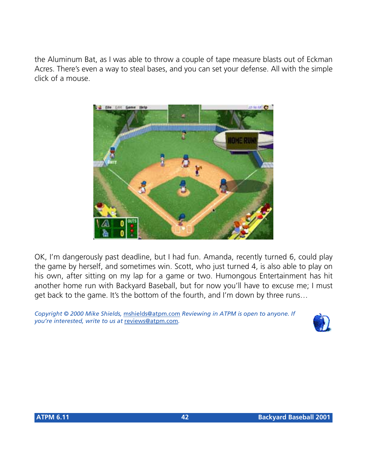the Aluminum Bat, as I was able to throw a couple of tape measure blasts out of Eckman Acres. There's even a way to steal bases, and you can set your defense. All with the simple click of a mouse.



OK, I'm dangerously past deadline, but I had fun. Amanda, recently turned 6, could play the game by herself, and sometimes win. Scott, who just turned 4, is also able to play on his own, after sitting on my lap for a game or two. Humongous Entertainment has hit another home run with Backyard Baseball, but for now you'll have to excuse me; I must get back to the game. It's the bottom of the fourth, and I'm down by three runs…

*Copyright © 2000 Mike Shields,* [mshields@atpm.com](mailto:dozab@atpm.com) *Reviewing in ATPM is open to anyone. If you're interested, write to us at* [reviews@atpm.com](mailto:reviews@atpm.com)*.*

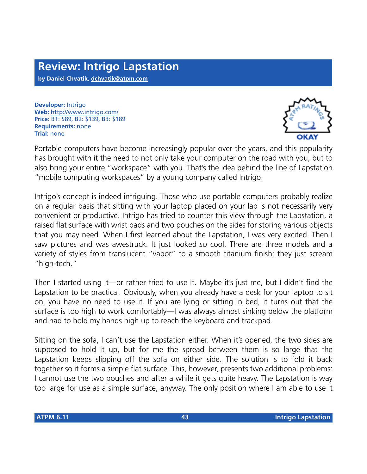**by Daniel Chvatik, [dchvatik@atpm.com](mailto:dchvatik@atpm.com)**

**Developer:** Intrigo **Web:** <http://www.intrigo.com/> **Price:** B1: \$89, B2: \$139, B3: \$189 **Requirements:** none **Trial:** none



Portable computers have become increasingly popular over the years, and this popularity has brought with it the need to not only take your computer on the road with you, but to also bring your entire "workspace" with you. That's the idea behind the line of Lapstation "mobile computing workspaces" by a young company called Intrigo.

Intrigo's concept is indeed intriguing. Those who use portable computers probably realize on a regular basis that sitting with your laptop placed on your lap is not necessarily very convenient or productive. Intrigo has tried to counter this view through the Lapstation, a raised flat surface with wrist pads and two pouches on the sides for storing various objects that you may need. When I first learned about the Lapstation, I was very excited. Then I saw pictures and was awestruck. It just looked *so* cool. There are three models and a variety of styles from translucent "vapor" to a smooth titanium finish; they just scream "high-tech."

Then I started using it—or rather tried to use it. Maybe it's just me, but I didn't find the Lapstation to be practical. Obviously, when you already have a desk for your laptop to sit on, you have no need to use it. If you are lying or sitting in bed, it turns out that the surface is too high to work comfortably—I was always almost sinking below the platform and had to hold my hands high up to reach the keyboard and trackpad.

Sitting on the sofa, I can't use the Lapstation either. When it's opened, the two sides are supposed to hold it up, but for me the spread between them is so large that the Lapstation keeps slipping off the sofa on either side. The solution is to fold it back together so it forms a simple flat surface. This, however, presents two additional problems: I cannot use the two pouches and after a while it gets quite heavy. The Lapstation is way too large for use as a simple surface, anyway. The only position where I am able to use it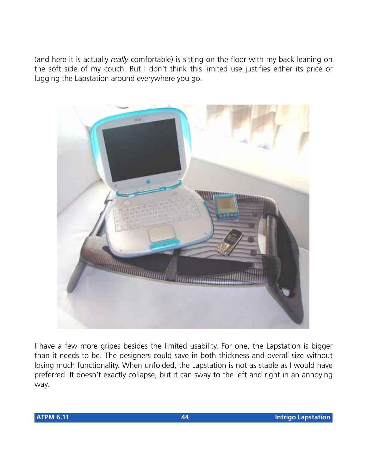(and here it is actually *really* comfortable) is sitting on the floor with my back leaning on the soft side of my couch. But I don't think this limited use justifies either its price or lugging the Lapstation around everywhere you go.



I have a few more gripes besides the limited usability. For one, the Lapstation is bigger than it needs to be. The designers could save in both thickness and overall size without losing much functionality. When unfolded, the Lapstation is not as stable as I would have preferred. It doesn't exactly collapse, but it can sway to the left and right in an annoying way.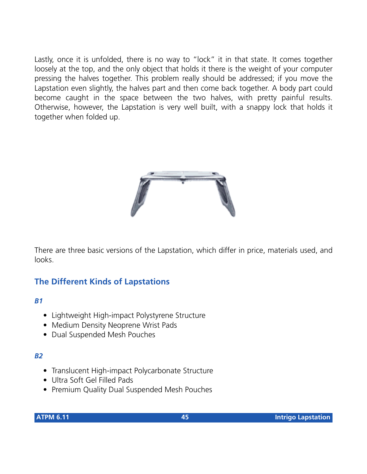Lastly, once it is unfolded, there is no way to "lock" it in that state. It comes together loosely at the top, and the only object that holds it there is the weight of your computer pressing the halves together. This problem really should be addressed; if you move the Lapstation even slightly, the halves part and then come back together. A body part could become caught in the space between the two halves, with pretty painful results. Otherwise, however, the Lapstation is very well built, with a snappy lock that holds it together when folded up.



There are three basic versions of the Lapstation, which differ in price, materials used, and looks.

## **The Different Kinds of Lapstations**

#### *B1*

- Lightweight High-impact Polystyrene Structure
- Medium Density Neoprene Wrist Pads
- Dual Suspended Mesh Pouches

#### *B2*

- Translucent High-impact Polycarbonate Structure
- Ultra Soft Gel Filled Pads
- Premium Quality Dual Suspended Mesh Pouches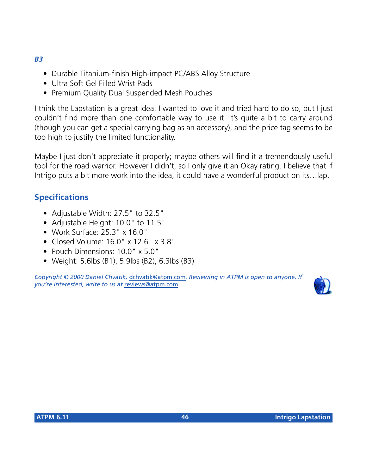- *B3*
	- Durable Titanium-finish High-impact PC/ABS Alloy Structure
	- Ultra Soft Gel Filled Wrist Pads
	- Premium Quality Dual Suspended Mesh Pouches

I think the Lapstation is a great idea. I wanted to love it and tried hard to do so, but I just couldn't find more than one comfortable way to use it. It's quite a bit to carry around (though you can get a special carrying bag as an accessory), and the price tag seems to be too high to justify the limited functionality.

Maybe I just don't appreciate it properly; maybe others will find it a tremendously useful tool for the road warrior. However I didn't, so I only give it an Okay rating. I believe that if Intrigo puts a bit more work into the idea, it could have a wonderful product on its…lap.

## **Specifications**

- Adjustable Width: 27.5" to 32.5"
- Adjustable Height: 10.0" to 11.5"
- Work Surface: 25.3" x 16.0"
- Closed Volume: 16.0" x 12.6" x 3.8"
- Pouch Dimensions: 10.0" x 5.0"
- Weight: 5.6lbs (B1), 5.9lbs (B2), 6.3lbs (B3)

*Copyright © 2000 Daniel Chvatik,* [dchvatik@atpm.com](mailto:dchvatik@atpm.com)*. Reviewing in ATPM is open to anyone. If you're interested, write to us at* [reviews@atpm.com](mailto:reviews@atpm.com)*.*

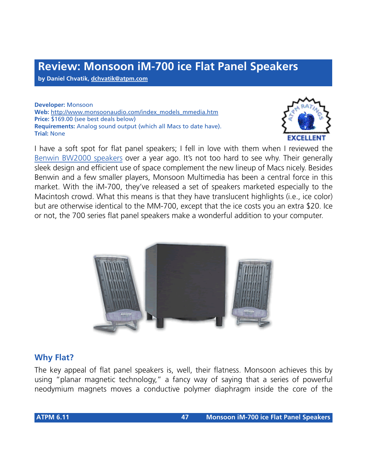## **Review: Monsoon iM-700 ice Flat Panel Speakers**

**by Daniel Chvatik, [dchvatik@atpm.com](mailto:dchvatik@atpm.com)**

**Developer:** Monsoon **Web:** [http://www.monsoonaudio.com/index\\_models\\_mmedia.htm](http://www.monsoonaudio.com/index_models_mmedia.htm) **Price:** \$169.00 (see best deals below) **Requirements:** Analog sound output (which all Macs to date have). **Trial:** None



I have a soft spot for flat panel speakers; I fell in love with them when I reviewed the [Benwin BW2000 speakers](http://www.atpm.com/5.04/benwin.shtml) over a year ago. It's not too hard to see why. Their generally sleek design and efficient use of space complement the new lineup of Macs nicely. Besides Benwin and a few smaller players, Monsoon Multimedia has been a central force in this market. With the iM-700, they've released a set of speakers marketed especially to the Macintosh crowd. What this means is that they have translucent highlights (i.e., ice color) but are otherwise identical to the MM-700, except that the ice costs you an extra \$20. Ice or not, the 700 series flat panel speakers make a wonderful addition to your computer.



### **Why Flat?**

The key appeal of flat panel speakers is, well, their flatness. Monsoon achieves this by using "planar magnetic technology," a fancy way of saying that a series of powerful neodymium magnets moves a conductive polymer diaphragm inside the core of the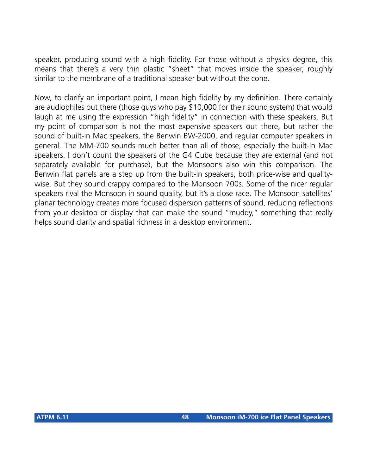speaker, producing sound with a high fidelity. For those without a physics degree, this means that there's a very thin plastic "sheet" that moves inside the speaker, roughly similar to the membrane of a traditional speaker but without the cone.

Now, to clarify an important point, I mean high fidelity by my definition. There certainly are audiophiles out there (those guys who pay \$10,000 for their sound system) that would laugh at me using the expression "high fidelity" in connection with these speakers. But my point of comparison is not the most expensive speakers out there, but rather the sound of built-in Mac speakers, the Benwin BW-2000, and regular computer speakers in general. The MM-700 sounds much better than all of those, especially the built-in Mac speakers. I don't count the speakers of the G4 Cube because they are external (and not separately available for purchase), but the Monsoons also win this comparison. The Benwin flat panels are a step up from the built-in speakers, both price-wise and qualitywise. But they sound crappy compared to the Monsoon 700s. Some of the nicer regular speakers rival the Monsoon in sound quality, but it's a close race. The Monsoon satellites' planar technology creates more focused dispersion patterns of sound, reducing reflections from your desktop or display that can make the sound "muddy," something that really helps sound clarity and spatial richness in a desktop environment.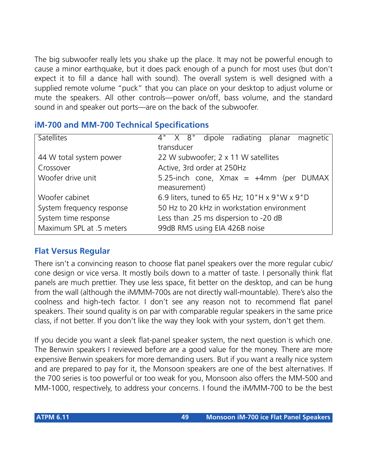The big subwoofer really lets you shake up the place. It may not be powerful enough to cause a minor earthquake, but it does pack enough of a punch for most uses (but don't expect it to fill a dance hall with sound). The overall system is well designed with a supplied remote volume "puck" that you can place on your desktop to adjust volume or mute the speakers. All other controls—power on/off, bass volume, and the standard sound in and speaker out ports—are on the back of the subwoofer.

## **iM-700 and MM-700 Technical Specifications**

| Satellites                | dipole radiating planar magnetic<br>4" X 8"  |  |  |  |
|---------------------------|----------------------------------------------|--|--|--|
|                           | transducer                                   |  |  |  |
| 44 W total system power   | 22 W subwoofer; 2 x 11 W satellites          |  |  |  |
| Crossover                 | Active, 3rd order at 250Hz                   |  |  |  |
| Woofer drive unit         | 5.25-inch cone, $X$ max = $+4$ mm (per DUMAX |  |  |  |
|                           | measurement)                                 |  |  |  |
| Woofer cabinet            | 6.9 liters, tuned to 65 Hz; 10"H x 9"W x 9"D |  |  |  |
| System frequency response | 50 Hz to 20 kHz in workstation environment   |  |  |  |
| System time response      | Less than .25 ms dispersion to -20 dB        |  |  |  |
| Maximum SPL at .5 meters  | 99dB RMS using EIA 426B noise                |  |  |  |

## **Flat Versus Regular**

There isn't a convincing reason to choose flat panel speakers over the more regular cubic/ cone design or vice versa. It mostly boils down to a matter of taste. I personally think flat panels are much prettier. They use less space, fit better on the desktop, and can be hung from the wall (although the iM/MM-700s are not directly wall-mountable). There's also the coolness and high-tech factor. I don't see any reason not to recommend flat panel speakers. Their sound quality is on par with comparable regular speakers in the same price class, if not better. If you don't like the way they look with your system, don't get them.

If you decide you want a sleek flat-panel speaker system, the next question is which one. The Benwin speakers I reviewed before are a good value for the money. There are more expensive Benwin speakers for more demanding users. But if you want a really nice system and are prepared to pay for it, the Monsoon speakers are one of the best alternatives. If the 700 series is too powerful or too weak for you, Monsoon also offers the MM-500 and MM-1000, respectively, to address your concerns. I found the iM/MM-700 to be the best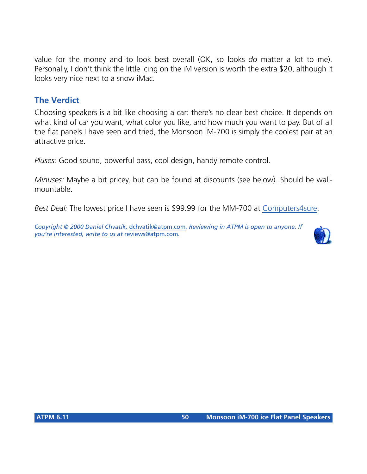value for the money and to look best overall (OK, so looks *do* matter a lot to me). Personally, I don't think the little icing on the iM version is worth the extra \$20, although it looks very nice next to a snow iMac.

## **The Verdict**

Choosing speakers is a bit like choosing a car: there's no clear best choice. It depends on what kind of car you want, what color you like, and how much you want to pay. But of all the flat panels I have seen and tried, the Monsoon iM-700 is simply the coolest pair at an attractive price.

*Pluses:* Good sound, powerful bass, cool design, handy remote control.

*Minuses:* Maybe a bit pricey, but can be found at discounts (see below). Should be wallmountable.

*Best Deal:* The lowest price I have seen is \$99.99 for the MM-700 at [Computers4sure](http://www.computers4sure.com).

*Copyright © 2000 Daniel Chvatik,* [dchvatik@atpm.com](mailto:dchvatik@atpm.com)*. Reviewing in ATPM is open to anyone. If you're interested, write to us at* [reviews@atpm.com](mailto:reviews@atpm.com)*.*

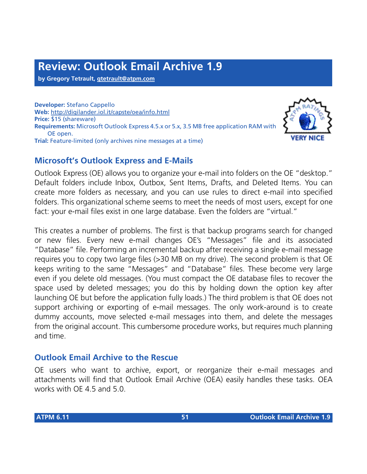# **Review: Outlook Email Archive 1.9**

**by Gregory Tetrault, [gtetrault@atpm.com](mailto:gtetrault@atpm.com)**

**Developer:** Stefano Cappello **Web:** <http://digilander.iol.it/capste/oea/info.html> **Price:** \$15 (shareware) **Requirements:** Microsoft Outlook Express 4.5.x or 5.x, 3.5 MB free application RAM with OE open. **Trial:** Feature-limited (only archives nine messages at a time)

## **Microsoft's Outlook Express and E-Mails**



Outlook Express (OE) allows you to organize your e-mail into folders on the OE "desktop." Default folders include Inbox, Outbox, Sent Items, Drafts, and Deleted Items. You can create more folders as necessary, and you can use rules to direct e-mail into specified folders. This organizational scheme seems to meet the needs of most users, except for one fact: your e-mail files exist in one large database. Even the folders are "virtual."

This creates a number of problems. The first is that backup programs search for changed or new files. Every new e-mail changes OE's "Messages" file and its associated "Database" file. Performing an incremental backup after receiving a single e-mail message requires you to copy two large files (>30 MB on my drive). The second problem is that OE keeps writing to the same "Messages" and "Database" files. These become very large even if you delete old messages. (You must compact the OE database files to recover the space used by deleted messages; you do this by holding down the option key after launching OE but before the application fully loads.) The third problem is that OE does not support archiving or exporting of e-mail messages. The only work-around is to create dummy accounts, move selected e-mail messages into them, and delete the messages from the original account. This cumbersome procedure works, but requires much planning and time.

### **Outlook Email Archive to the Rescue**

OE users who want to archive, export, or reorganize their e-mail messages and attachments will find that Outlook Email Archive (OEA) easily handles these tasks. OEA works with OE 4.5 and 5.0.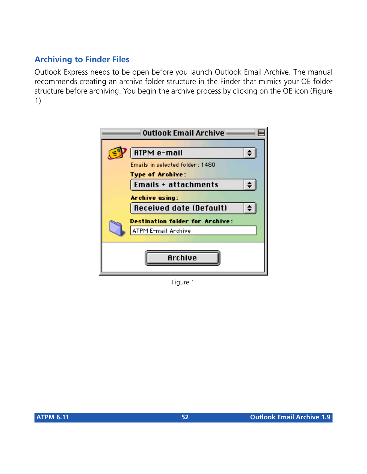## **Archiving to Finder Files**

Outlook Express needs to be open before you launch Outlook Email Archive. The manual recommends creating an archive folder structure in the Finder that mimics your OE folder structure before archiving. You begin the archive process by clicking on the OE icon (Figure 1).



Figure 1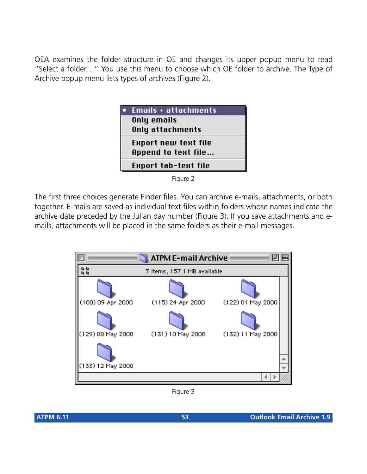OEA examines the folder structure in OE and changes its upper popup menu to read "Select a folder…" You use this menu to choose which OE folder to archive. The Type of Archive popup menu lists types of archives (Figure 2).

| <u>Emails + attachments</u> |  |
|-----------------------------|--|
| Only emails                 |  |
| Only attachments            |  |
| Export new text file        |  |
| Append to text file         |  |
| Export tab-text file        |  |
|                             |  |



The first three choices generate Finder files. You can archive e-mails, attachments, or both together. E-mails are saved as individual text files within folders whose names indicate the archive date preceded by the Julian day number (Figure 3). If you save attachments and emails, attachments will be placed in the same folders as their e-mail messages.



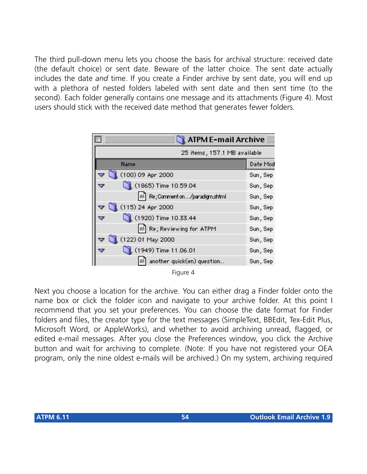The third pull-down menu lets you choose the basis for archival structure: received date (the default choice) or sent date. Beware of the latter choice. The sent date actually includes the date *and* time. If you create a Finder archive by sent date, you will end up with a plethora of nested folders labeled with sent date and then sent time (to the second). Each folder generally contains one message and its attachments (Figure 4). Most users should stick with the received date method that generates fewer folders.



Next you choose a location for the archive. You can either drag a Finder folder onto the name box or click the folder icon and navigate to your archive folder. At this point I recommend that you set your preferences. You can choose the date format for Finder folders and files, the creator type for the text messages (SimpleText, BBEdit, Tex-Edit Plus, Microsoft Word, or AppleWorks), and whether to avoid archiving unread, flagged, or edited e-mail messages. After you close the Preferences window, you click the Archive button and wait for archiving to complete. (Note: If you have not registered your OEA program, only the nine oldest e-mails will be archived.) On my system, archiving required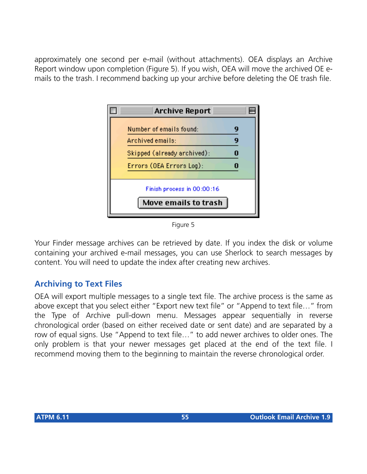approximately one second per e-mail (without attachments). OEA displays an Archive Report window upon completion (Figure 5). If you wish, OEA will move the archived OE emails to the trash. I recommend backing up your archive before deleting the OE trash file.



Figure 5

Your Finder message archives can be retrieved by date. If you index the disk or volume containing your archived e-mail messages, you can use Sherlock to search messages by content. You will need to update the index after creating new archives.

## **Archiving to Text Files**

OEA will export multiple messages to a single text file. The archive process is the same as above except that you select either "Export new text file" or "Append to text file…" from the Type of Archive pull-down menu. Messages appear sequentially in reverse chronological order (based on either received date or sent date) and are separated by a row of equal signs. Use "Append to text file…" to add newer archives to older ones. The only problem is that your newer messages get placed at the end of the text file. I recommend moving them to the beginning to maintain the reverse chronological order.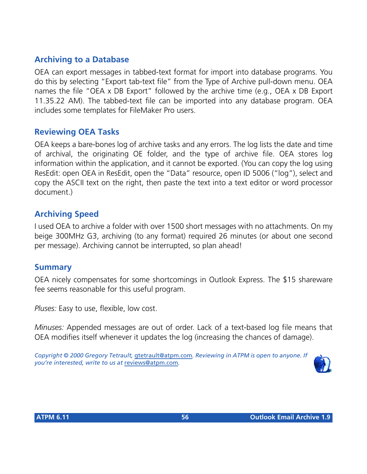## **Archiving to a Database**

OEA can export messages in tabbed-text format for import into database programs. You do this by selecting "Export tab-text file" from the Type of Archive pull-down menu. OEA names the file "OEA x DB Export" followed by the archive time (e.g., OEA x DB Export 11.35.22 AM). The tabbed-text file can be imported into any database program. OEA includes some templates for FileMaker Pro users.

#### **Reviewing OEA Tasks**

OEA keeps a bare-bones log of archive tasks and any errors. The log lists the date and time of archival, the originating OE folder, and the type of archive file. OEA stores log information within the application, and it cannot be exported. (You can copy the log using ResEdit: open OEA in ResEdit, open the "Data" resource, open ID 5006 ("log"), select and copy the ASCII text on the right, then paste the text into a text editor or word processor document.)

#### **Archiving Speed**

I used OEA to archive a folder with over 1500 short messages with no attachments. On my beige 300MHz G3, archiving (to any format) required 26 minutes (or about one second per message). Archiving cannot be interrupted, so plan ahead!

#### **Summary**

OEA nicely compensates for some shortcomings in Outlook Express. The \$15 shareware fee seems reasonable for this useful program.

*Pluses:* Easy to use, flexible, low cost.

*Minuses:* Appended messages are out of order. Lack of a text-based log file means that OEA modifies itself whenever it updates the log (increasing the chances of damage).

*Copyright © 2000 Gregory Tetrault,* [gtetrault@atpm.com](mailto:gtetrault@atpm.com)*. Reviewing in ATPM is open to anyone. If you're interested, write to us at* [reviews@atpm.com](mailto:reviews@atpm.com)*.*

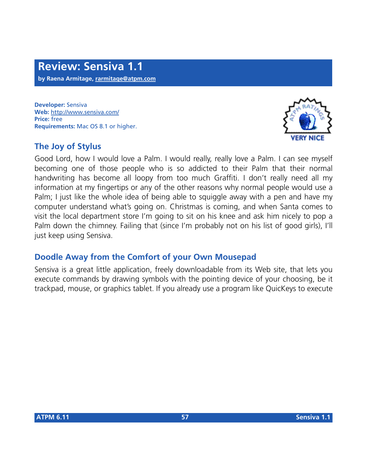**Developer:** Sensiva **Web:** <http://www.sensiva.com/> **Price:** free **Requirements:** Mac OS 8.1 or higher.

## **The Joy of Stylus**



Good Lord, how I would love a Palm. I would really, really love a Palm. I can see myself becoming one of those people who is so addicted to their Palm that their normal handwriting has become all loopy from too much Graffiti. I don't really need all my information at my fingertips or any of the other reasons why normal people would use a Palm; I just like the whole idea of being able to squiggle away with a pen and have my computer understand what's going on. Christmas is coming, and when Santa comes to visit the local department store I'm going to sit on his knee and ask him nicely to pop a Palm down the chimney. Failing that (since I'm probably not on his list of good girls), I'll just keep using Sensiva.

## **Doodle Away from the Comfort of your Own Mousepad**

Sensiva is a great little application, freely downloadable from its Web site, that lets you execute commands by drawing symbols with the pointing device of your choosing, be it trackpad, mouse, or graphics tablet. If you already use a program like QuicKeys to execute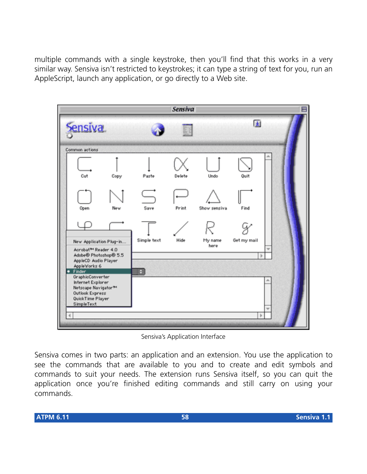multiple commands with a single keystroke, then you'll find that this works in a very similar way. Sensiva isn't restricted to keystrokes; it can type a string of text for you, run an AppleScript, launch any application, or go directly to a Web site.



Sensiva's Application Interface

Sensiva comes in two parts: an application and an extension. You use the application to see the commands that are available to you and to create and edit symbols and commands to suit your needs. The extension runs Sensiva itself, so you can quit the application once you're finished editing commands and still carry on using your commands.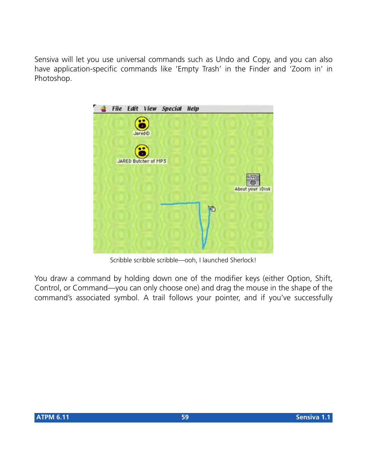Sensiva will let you use universal commands such as Undo and Copy, and you can also have application-specific commands like 'Empty Trash' in the Finder and 'Zoom in' in Photoshop.



Scribble scribble scribble—ooh, I launched Sherlock!

You draw a command by holding down one of the modifier keys (either Option, Shift, Control, or Command—you can only choose one) and drag the mouse in the shape of the command's associated symbol. A trail follows your pointer, and if you've successfully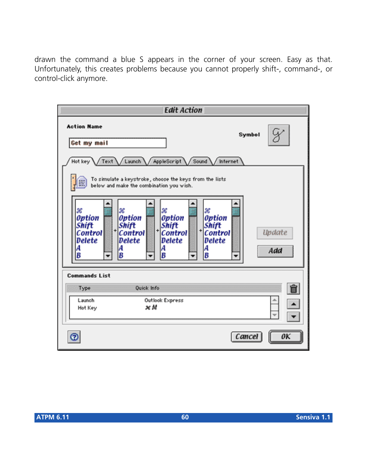drawn the command a blue S appears in the corner of your screen. Easy as that. Unfortunately, this creates problems because you cannot properly shift-, command-, or control-click anymore.

| <b>Edit Action</b>                                                                                                                                                                                                                                                                      |  |  |  |  |
|-----------------------------------------------------------------------------------------------------------------------------------------------------------------------------------------------------------------------------------------------------------------------------------------|--|--|--|--|
| <b>Action Name</b><br>Symbol<br>Get my mail                                                                                                                                                                                                                                             |  |  |  |  |
| Hot key<br>Launch<br>AppleScript<br>Sound<br>/ Internet<br>Text<br>To simulate a keystroke, choose the keys from the lists<br>below and make the combination you wish.                                                                                                                  |  |  |  |  |
| æ<br>x<br>æ<br>æ<br>Option<br><b>Option</b><br><b>Option</b><br>Option<br>Shift<br>Shift<br><b>Shift</b><br>Shift<br>+<br>$t$ Control<br><b>Update</b><br><b>Control</b><br>Control<br>Control<br>Delete<br>Delete<br><b>Delete</b><br>Delete<br>A<br>A<br>A<br>Add<br>B<br>B<br>B<br>B |  |  |  |  |
| <b>Commands List</b>                                                                                                                                                                                                                                                                    |  |  |  |  |
| Ê<br>Quick Info<br>Type<br>Outlook Express<br>Launch<br>×М<br>Hot Key                                                                                                                                                                                                                   |  |  |  |  |
| Cancel                                                                                                                                                                                                                                                                                  |  |  |  |  |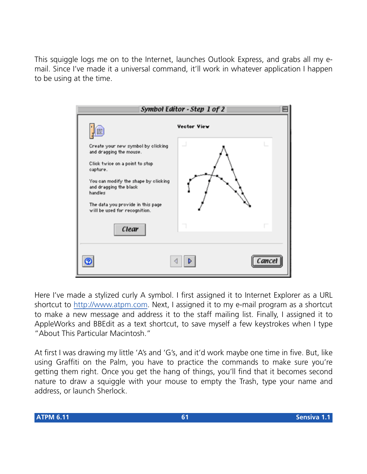This squiggle logs me on to the Internet, launches Outlook Express, and grabs all my email. Since I've made it a universal command, it'll work in whatever application I happen to be using at the time.



Here I've made a stylized curly A symbol. I first assigned it to Internet Explorer as a URL shortcut to <http://www.atpm.com>. Next, I assigned it to my e-mail program as a shortcut to make a new message and address it to the staff mailing list. Finally, I assigned it to AppleWorks and BBEdit as a text shortcut, to save myself a few keystrokes when I type "About This Particular Macintosh."

At first I was drawing my little 'A's and 'G's, and it'd work maybe one time in five. But, like using Graffiti on the Palm, you have to practice the commands to make sure you're getting them right. Once you get the hang of things, you'll find that it becomes second nature to draw a squiggle with your mouse to empty the Trash, type your name and address, or launch Sherlock.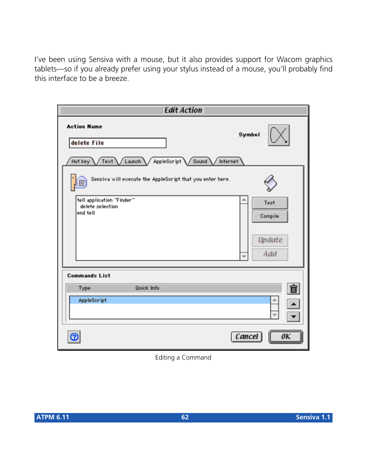I've been using Sensiva with a mouse, but it also provides support for Wacom graphics tablets—so if you already prefer using your stylus instead of a mouse, you'll probably find this interface to be a breeze.

| <b>Edit Action</b>                                                                              |                                                              |  |  |
|-------------------------------------------------------------------------------------------------|--------------------------------------------------------------|--|--|
| <b>Action Name</b><br>delete File<br>Hot key<br>Text /Launch \/<br>AppleScript Sound / Internet | Symbol                                                       |  |  |
| Sensiva will execute the AppleScript that you enter here.<br>E                                  |                                                              |  |  |
| tell application "Finder"<br>delete selection<br>end tell                                       | Test<br>Compile<br>Update<br>Add<br>$\overline{\phantom{a}}$ |  |  |
|                                                                                                 |                                                              |  |  |
| <b>Commands List</b><br>Quick Info<br>Type<br>AppleScript                                       | û                                                            |  |  |
| Θ                                                                                               | Cancel<br>oк                                                 |  |  |

Editing a Command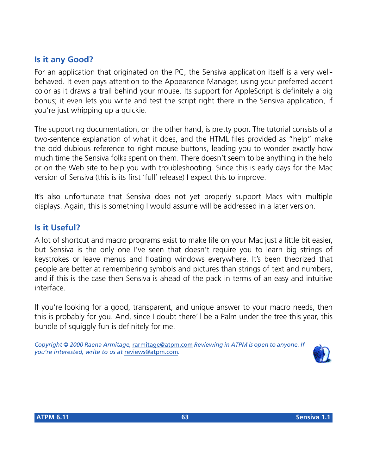## **Is it any Good?**

For an application that originated on the PC, the Sensiva application itself is a very wellbehaved. It even pays attention to the Appearance Manager, using your preferred accent color as it draws a trail behind your mouse. Its support for AppleScript is definitely a big bonus; it even lets you write and test the script right there in the Sensiva application, if you're just whipping up a quickie.

The supporting documentation, on the other hand, is pretty poor. The tutorial consists of a two-sentence explanation of what it does, and the HTML files provided as "help" make the odd dubious reference to right mouse buttons, leading you to wonder exactly how much time the Sensiva folks spent on them. There doesn't seem to be anything in the help or on the Web site to help you with troubleshooting. Since this is early days for the Mac version of Sensiva (this is its first 'full' release) I expect this to improve.

It's also unfortunate that Sensiva does not yet properly support Macs with multiple displays. Again, this is something I would assume will be addressed in a later version.

#### **Is it Useful?**

A lot of shortcut and macro programs exist to make life on your Mac just a little bit easier, but Sensiva is the only one I've seen that doesn't require you to learn big strings of keystrokes or leave menus and floating windows everywhere. It's been theorized that people are better at remembering symbols and pictures than strings of text and numbers, and if this is the case then Sensiva is ahead of the pack in terms of an easy and intuitive interface.

If you're looking for a good, transparent, and unique answer to your macro needs, then this is probably for you. And, since I doubt there'll be a Palm under the tree this year, this bundle of squiggly fun is definitely for me.

*Copyright © 2000 Raena Armitage,* [rarmitage@atpm.com](mailto:dozab@atpm.com) *Reviewing in ATPM is open to anyone. If you're interested, write to us at* [reviews@atpm.com](mailto:reviews@atpm.com)*.*

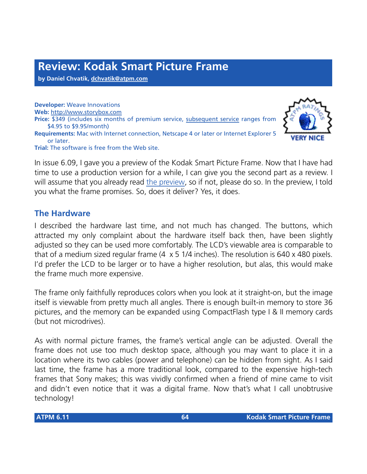**by Daniel Chvatik, [dchvatik@atpm.com](mailto:dchvatik@atpm.com)**

**Developer:** Weave Innovations **Web:** <http://www.storybox.com> **Price:** \$349 (includes six months of premium service, [subsequent service](http://www.storybox.com/products/subscription.html) ranges from \$4.95 to \$9.95/month) **Requirements:** Mac with Internet connection, Netscape 4 or later or Internet Explorer 5 or later. **Trial:** The software is free from the Web site.



#### **The Hardware**

I described the hardware last time, and not much has changed. The buttons, which attracted my only complaint about the hardware itself back then, have been slightly adjusted so they can be used more comfortably. The LCD's viewable area is comparable to that of a medium sized regular frame (4 x 5 1/4 inches). The resolution is 640 x 480 pixels. I'd prefer the LCD to be larger or to have a higher resolution, but alas, this would make the frame much more expensive.

The frame only faithfully reproduces colors when you look at it straight-on, but the image itself is viewable from pretty much all angles. There is enough built-in memory to store 36 pictures, and the memory can be expanded using CompactFlash type I & II memory cards (but not microdrives).

As with normal picture frames, the frame's vertical angle can be adjusted. Overall the frame does not use too much desktop space, although you may want to place it in a location where its two cables (power and telephone) can be hidden from sight. As I said last time, the frame has a more traditional look, compared to the expensive high-tech frames that Sony makes; this was vividly confirmed when a friend of mine came to visit and didn't even notice that it was a digital frame. Now that's what I call unobtrusive technology!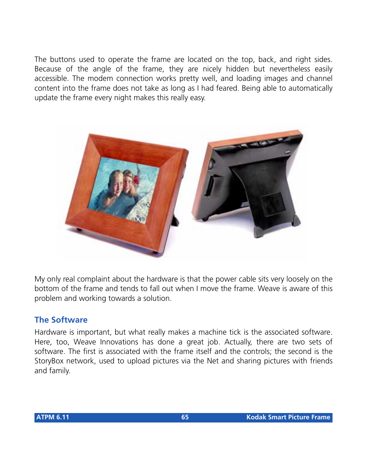The buttons used to operate the frame are located on the top, back, and right sides. Because of the angle of the frame, they are nicely hidden but nevertheless easily accessible. The modem connection works pretty well, and loading images and channel content into the frame does not take as long as I had feared. Being able to automatically update the frame every night makes this really easy.



My only real complaint about the hardware is that the power cable sits very loosely on the bottom of the frame and tends to fall out when I move the frame. Weave is aware of this problem and working towards a solution.

## **The Software**

Hardware is important, but what really makes a machine tick is the associated software. Here, too, Weave Innovations has done a great job. Actually, there are two sets of software. The first is associated with the frame itself and the controls; the second is the StoryBox network, used to upload pictures via the Net and sharing pictures with friends and family.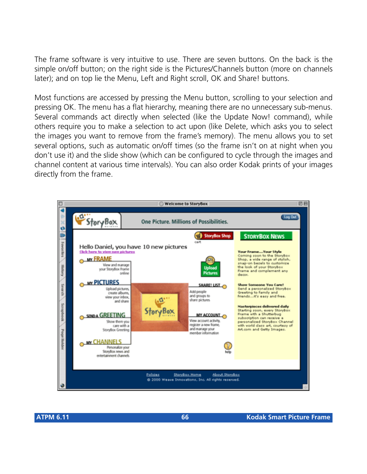The frame software is very intuitive to use. There are seven buttons. On the back is the simple on/off button; on the right side is the Pictures/Channels button (more on channels later); and on top lie the Menu, Left and Right scroll, OK and Share! buttons.

Most functions are accessed by pressing the Menu button, scrolling to your selection and pressing OK. The menu has a flat hierarchy, meaning there are no unnecessary sub-menus. Several commands act directly when selected (like the Update Now! command), while others require you to make a selection to act upon (like Delete, which asks you to select the images you want to remove from the frame's memory). The menu allows you to set several options, such as automatic on/off times (so the frame isn't on at night when you don't use it) and the slide show (which can be configured to cycle through the images and channel content at various time intervals). You can also order Kodak prints of your images directly from the frame.

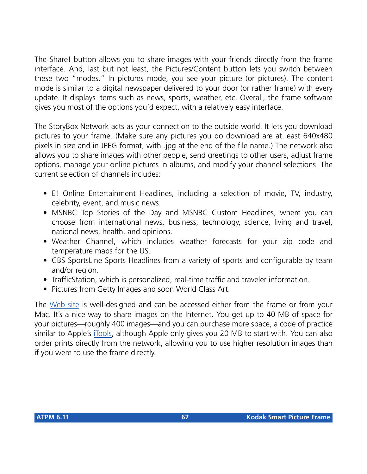The Share! button allows you to share images with your friends directly from the frame interface. And, last but not least, the Pictures/Content button lets you switch between these two "modes." In pictures mode, you see your picture (or pictures). The content mode is similar to a digital newspaper delivered to your door (or rather frame) with every update. It displays items such as news, sports, weather, etc. Overall, the frame software gives you most of the options you'd expect, with a relatively easy interface.

The StoryBox Network acts as your connection to the outside world. It lets you download pictures to your frame. (Make sure any pictures you do download are at least 640x480 pixels in size and in JPEG format, with .jpg at the end of the file name.) The network also allows you to share images with other people, send greetings to other users, adjust frame options, manage your online pictures in albums, and modify your channel selections. The current selection of channels includes:

- E! Online Entertainment Headlines, including a selection of movie, TV, industry, celebrity, event, and music news.
- MSNBC Top Stories of the Day and MSNBC Custom Headlines, where you can choose from international news, business, technology, science, living and travel, national news, health, and opinions.
- Weather Channel, which includes weather forecasts for your zip code and temperature maps for the US.
- CBS SportsLine Sports Headlines from a variety of sports and configurable by team and/or region.
- TrafficStation, which is personalized, real-time traffic and traveler information.
- Pictures from Getty Images and soon World Class Art.

The [Web site](http://www.storybox.com) is well-designed and can be accessed either from the frame or from your Mac. It's a nice way to share images on the Internet. You get up to 40 MB of space for your pictures—roughly 400 images—and you can purchase more space, a code of practice similar to Apple's [iTools](http://itools.mac.com/WebObjects/Tools.woa), although Apple only gives you 20 MB to start with. You can also order prints directly from the network, allowing you to use higher resolution images than if you were to use the frame directly.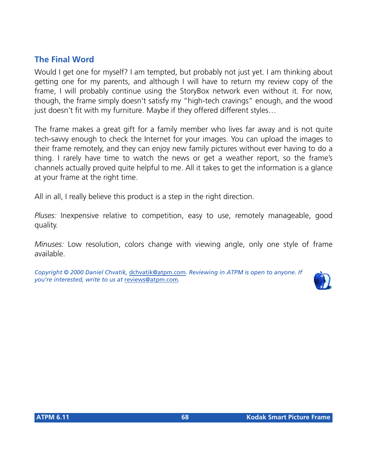### **The Final Word**

Would I get one for myself? I am tempted, but probably not just yet. I am thinking about getting one for my parents, and although I will have to return my review copy of the frame, I will probably continue using the StoryBox network even without it. For now, though, the frame simply doesn't satisfy my "high-tech cravings" enough, and the wood just doesn't fit with my furniture. Maybe if they offered different styles...

The frame makes a great gift for a family member who lives far away and is not quite tech-savvy enough to check the Internet for your images. You can upload the images to their frame remotely, and they can enjoy new family pictures without ever having to do a thing. I rarely have time to watch the news or get a weather report, so the frame's channels actually proved quite helpful to me. All it takes to get the information is a glance at your frame at the right time.

All in all, I really believe this product is a step in the right direction.

*Pluses:* Inexpensive relative to competition, easy to use, remotely manageable, good quality.

*Minuses:* Low resolution, colors change with viewing angle, only one style of frame available.

*Copyright © 2000 Daniel Chvatik,* [dchvatik@atpm.com](mailto:dchvatik@atpm.com)*. Reviewing in ATPM is open to anyone. If you're interested, write to us at* [reviews@atpm.com](mailto:reviews@atpm.com)*.*

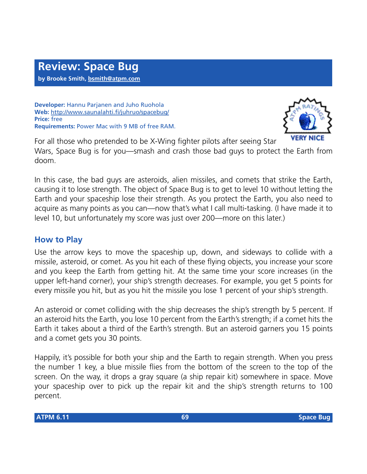**Developer:** Hannu Parjanen and Juho Ruohola **Web:** <http://www.saunalahti.fi/juhruo/spacebug/> **Price:** free **Requirements:** Power Mac with 9 MB of free RAM.



For all those who pretended to be X-Wing fighter pilots after seeing Star Wars, Space Bug is for you—smash and crash those bad guys to protect the Earth from doom.

In this case, the bad guys are asteroids, alien missiles, and comets that strike the Earth, causing it to lose strength. The object of Space Bug is to get to level 10 without letting the Earth and your spaceship lose their strength. As you protect the Earth, you also need to acquire as many points as you can—now that's what I call multi-tasking. (I have made it to level 10, but unfortunately my score was just over 200—more on this later.)

## **How to Play**

Use the arrow keys to move the spaceship up, down, and sideways to collide with a missile, asteroid, or comet. As you hit each of these flying objects, you increase your score and you keep the Earth from getting hit. At the same time your score increases (in the upper left-hand corner), your ship's strength decreases. For example, you get 5 points for every missile you hit, but as you hit the missile you lose 1 percent of your ship's strength.

An asteroid or comet colliding with the ship decreases the ship's strength by 5 percent. If an asteroid hits the Earth, you lose 10 percent from the Earth's strength; if a comet hits the Earth it takes about a third of the Earth's strength. But an asteroid garners you 15 points and a comet gets you 30 points.

Happily, it's possible for both your ship and the Earth to regain strength. When you press the number 1 key, a blue missile flies from the bottom of the screen to the top of the screen. On the way, it drops a gray square (a ship repair kit) somewhere in space. Move your spaceship over to pick up the repair kit and the ship's strength returns to 100 percent.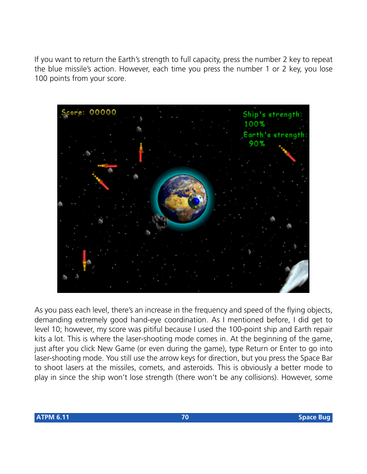If you want to return the Earth's strength to full capacity, press the number 2 key to repeat the blue missile's action. However, each time you press the number 1 or 2 key, you lose 100 points from your score.



As you pass each level, there's an increase in the frequency and speed of the flying objects, demanding extremely good hand-eye coordination. As I mentioned before, I did get to level 10; however, my score was pitiful because I used the 100-point ship and Earth repair kits a lot. This is where the laser-shooting mode comes in. At the beginning of the game, just after you click New Game (or even during the game), type Return or Enter to go into laser-shooting mode. You still use the arrow keys for direction, but you press the Space Bar to shoot lasers at the missiles, comets, and asteroids. This is obviously a better mode to play in since the ship won't lose strength (there won't be any collisions). However, some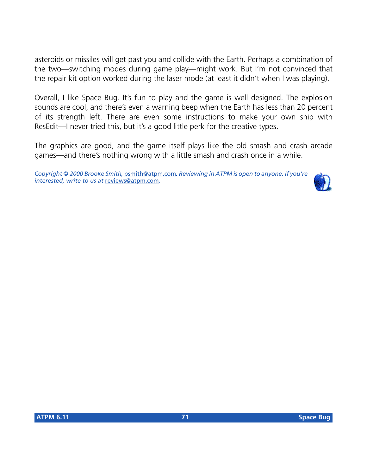asteroids or missiles will get past you and collide with the Earth. Perhaps a combination of the two—switching modes during game play—might work. But I'm not convinced that the repair kit option worked during the laser mode (at least it didn't when I was playing).

Overall, I like Space Bug. It's fun to play and the game is well designed. The explosion sounds are cool, and there's even a warning beep when the Earth has less than 20 percent of its strength left. There are even some instructions to make your own ship with ResEdit—I never tried this, but it's a good little perk for the creative types.

The graphics are good, and the game itself plays like the old smash and crash arcade games—and there's nothing wrong with a little smash and crash once in a while.

*Copyright © 2000 Brooke Smith,* [bsmith@atpm.com](mailto:bsmith@atpm.com)*. Reviewing in ATPM is open to anyone. If you're interested, write to us at* [reviews@atpm.com](mailto:reviews@atpm.com)*.*

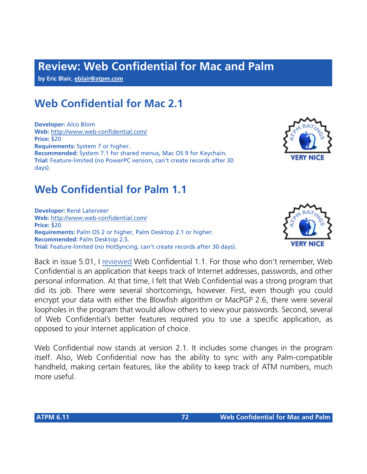# **Review: Web Confidential for Mac and Palm**

**by Eric Blair, [eblair@atpm.com](mailto:eblair@atpm.com)**

## **Web Confidential for Mac 2.1**

**Developer:** Alco Blom **Web:** <http://www.web-confidential.com/> **Price:** \$20 **Requirements:** System 7 or higher. **Recommended:** System 7.1 for shared menus, Mac OS 9 for Keychain. **Trial:** Feature-limited (no PowerPC version, can't create records after 30 days).

## **Web Confidential for Palm 1.1**

**Developer:** René Laterveer **Web:** <http://www.web-confidential.com/> **Price:** \$20 **Requirements:** Palm OS 2 or higher, Palm Desktop 2.1 or higher. **Recommended:** Palm Desktop 2.5. **Trial:** Feature-limited (no HotSyncing, can't create records after 30 days).

Back in issue 5.01, I [reviewed](http://www.atpm.com/5.01/page11.shtml) Web Confidential 1.1. For those who don't remember, Web Confidential is an application that keeps track of Internet addresses, passwords, and other personal information. At that time, I felt that Web Confidential was a strong program that did its job. There were several shortcomings, however. First, even though you could encrypt your data with either the Blowfish algorithm or MacPGP 2.6, there were several loopholes in the program that would allow others to view your passwords. Second, several of Web Confidential's better features required you to use a specific application, as opposed to your Internet application of choice.

Web Confidential now stands at version 2.1. It includes some changes in the program itself. Also, Web Confidential now has the ability to sync with any Palm-compatible handheld, making certain features, like the ability to keep track of ATM numbers, much more useful.



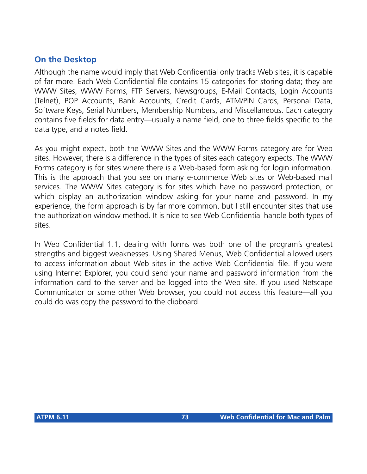### **On the Desktop**

Although the name would imply that Web Confidential only tracks Web sites, it is capable of far more. Each Web Confidential file contains 15 categories for storing data; they are WWW Sites, WWW Forms, FTP Servers, Newsgroups, E-Mail Contacts, Login Accounts (Telnet), POP Accounts, Bank Accounts, Credit Cards, ATM/PIN Cards, Personal Data, Software Keys, Serial Numbers, Membership Numbers, and Miscellaneous. Each category contains five fields for data entry—usually a name field, one to three fields specific to the data type, and a notes field.

As you might expect, both the WWW Sites and the WWW Forms category are for Web sites. However, there is a difference in the types of sites each category expects. The WWW Forms category is for sites where there is a Web-based form asking for login information. This is the approach that you see on many e-commerce Web sites or Web-based mail services. The WWW Sites category is for sites which have no password protection, or which display an authorization window asking for your name and password. In my experience, the form approach is by far more common, but I still encounter sites that use the authorization window method. It is nice to see Web Confidential handle both types of sites.

In Web Confidential 1.1, dealing with forms was both one of the program's greatest strengths and biggest weaknesses. Using Shared Menus, Web Confidential allowed users to access information about Web sites in the active Web Confidential file. If you were using Internet Explorer, you could send your name and password information from the information card to the server and be logged into the Web site. If you used Netscape Communicator or some other Web browser, you could not access this feature—all you could do was copy the password to the clipboard.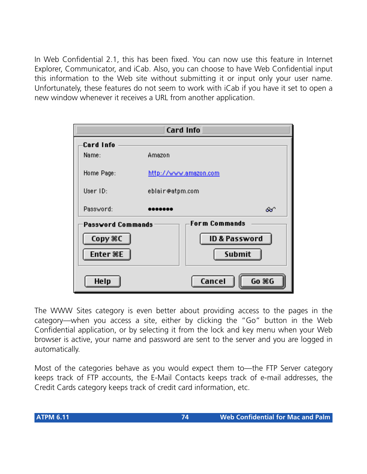In Web Confidential 2.1, this has been fixed. You can now use this feature in Internet Explorer, Communicator, and iCab. Also, you can choose to have Web Confidential input this information to the Web site without submitting it or input only your user name. Unfortunately, these features do not seem to work with iCab if you have it set to open a new window whenever it receives a URL from another application.



The WWW Sites category is even better about providing access to the pages in the category—when you access a site, either by clicking the "Go" button in the Web Confidential application, or by selecting it from the lock and key menu when your Web browser is active, your name and password are sent to the server and you are logged in automatically.

Most of the categories behave as you would expect them to—the FTP Server category keeps track of FTP accounts, the E-Mail Contacts keeps track of e-mail addresses, the Credit Cards category keeps track of credit card information, etc.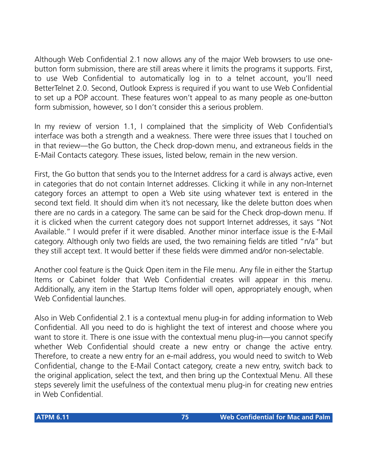Although Web Confidential 2.1 now allows any of the major Web browsers to use onebutton form submission, there are still areas where it limits the programs it supports. First, to use Web Confidential to automatically log in to a telnet account, you'll need BetterTelnet 2.0. Second, Outlook Express is required if you want to use Web Confidential to set up a POP account. These features won't appeal to as many people as one-button form submission, however, so I don't consider this a serious problem.

In my review of version 1.1, I complained that the simplicity of Web Confidential's interface was both a strength and a weakness. There were three issues that I touched on in that review—the Go button, the Check drop-down menu, and extraneous fields in the E-Mail Contacts category. These issues, listed below, remain in the new version.

First, the Go button that sends you to the Internet address for a card is always active, even in categories that do not contain Internet addresses. Clicking it while in any non-Internet category forces an attempt to open a Web site using whatever text is entered in the second text field. It should dim when it's not necessary, like the delete button does when there are no cards in a category. The same can be said for the Check drop-down menu. If it is clicked when the current category does not support Internet addresses, it says "Not Available." I would prefer if it were disabled. Another minor interface issue is the E-Mail category. Although only two fields are used, the two remaining fields are titled "n/a" but they still accept text. It would better if these fields were dimmed and/or non-selectable.

Another cool feature is the Quick Open item in the File menu. Any file in either the Startup Items or Cabinet folder that Web Confidential creates will appear in this menu. Additionally, any item in the Startup Items folder will open, appropriately enough, when Web Confidential launches.

Also in Web Confidential 2.1 is a contextual menu plug-in for adding information to Web Confidential. All you need to do is highlight the text of interest and choose where you want to store it. There is one issue with the contextual menu plug-in—you cannot specify whether Web Confidential should create a new entry or change the active entry. Therefore, to create a new entry for an e-mail address, you would need to switch to Web Confidential, change to the E-Mail Contact category, create a new entry, switch back to the original application, select the text, and then bring up the Contextual Menu. All these steps severely limit the usefulness of the contextual menu plug-in for creating new entries in Web Confidential.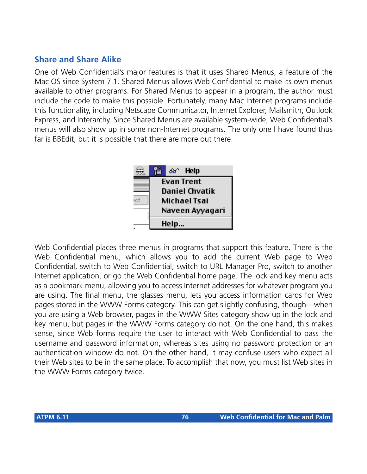#### **Share and Share Alike**

One of Web Confidential's major features is that it uses Shared Menus, a feature of the Mac OS since System 7.1. Shared Menus allows Web Confidential to make its own menus available to other programs. For Shared Menus to appear in a program, the author must include the code to make this possible. Fortunately, many Mac Internet programs include this functionality, including Netscape Communicator, Internet Explorer, Mailsmith, Outlook Express, and Interarchy. Since Shared Menus are available system-wide, Web Confidential's menus will also show up in some non-Internet programs. The only one I have found thus far is BBEdit, but it is possible that there are more out there.



Web Confidential places three menus in programs that support this feature. There is the Web Confidential menu, which allows you to add the current Web page to Web Confidential, switch to Web Confidential, switch to URL Manager Pro, switch to another Internet application, or go the Web Confidential home page. The lock and key menu acts as a bookmark menu, allowing you to access Internet addresses for whatever program you are using. The final menu, the glasses menu, lets you access information cards for Web pages stored in the WWW Forms category. This can get slightly confusing, though—when you are using a Web browser, pages in the WWW Sites category show up in the lock and key menu, but pages in the WWW Forms category do not. On the one hand, this makes sense, since Web forms require the user to interact with Web Confidential to pass the username and password information, whereas sites using no password protection or an authentication window do not. On the other hand, it may confuse users who expect all their Web sites to be in the same place. To accomplish that now, you must list Web sites in the WWW Forms category twice.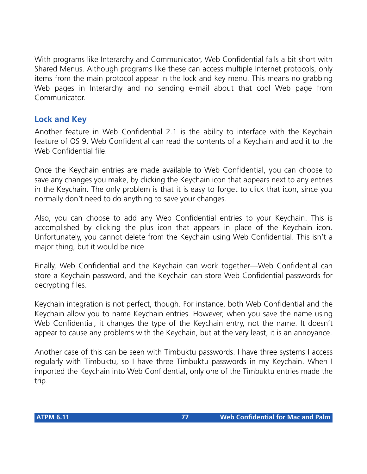With programs like Interarchy and Communicator, Web Confidential falls a bit short with Shared Menus. Although programs like these can access multiple Internet protocols, only items from the main protocol appear in the lock and key menu. This means no grabbing Web pages in Interarchy and no sending e-mail about that cool Web page from Communicator.

# **Lock and Key**

Another feature in Web Confidential 2.1 is the ability to interface with the Keychain feature of OS 9. Web Confidential can read the contents of a Keychain and add it to the Web Confidential file.

Once the Keychain entries are made available to Web Confidential, you can choose to save any changes you make, by clicking the Keychain icon that appears next to any entries in the Keychain. The only problem is that it is easy to forget to click that icon, since you normally don't need to do anything to save your changes.

Also, you can choose to add any Web Confidential entries to your Keychain. This is accomplished by clicking the plus icon that appears in place of the Keychain icon. Unfortunately, you cannot delete from the Keychain using Web Confidential. This isn't a major thing, but it would be nice.

Finally, Web Confidential and the Keychain can work together—Web Confidential can store a Keychain password, and the Keychain can store Web Confidential passwords for decrypting files.

Keychain integration is not perfect, though. For instance, both Web Confidential and the Keychain allow you to name Keychain entries. However, when you save the name using Web Confidential, it changes the type of the Keychain entry, not the name. It doesn't appear to cause any problems with the Keychain, but at the very least, it is an annoyance.

Another case of this can be seen with Timbuktu passwords. I have three systems I access regularly with Timbuktu, so I have three Timbuktu passwords in my Keychain. When I imported the Keychain into Web Confidential, only one of the Timbuktu entries made the trip.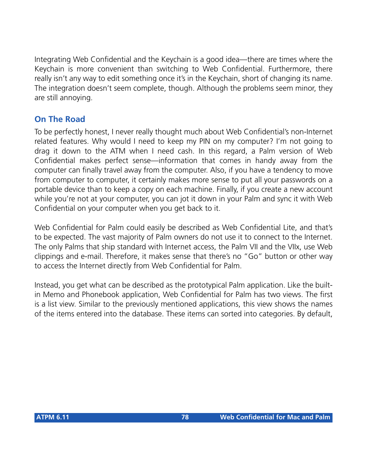Integrating Web Confidential and the Keychain is a good idea—there are times where the Keychain is more convenient than switching to Web Confidential. Furthermore, there really isn't any way to edit something once it's in the Keychain, short of changing its name. The integration doesn't seem complete, though. Although the problems seem minor, they are still annoying.

# **On The Road**

To be perfectly honest, I never really thought much about Web Confidential's non-Internet related features. Why would I need to keep my PIN on my computer? I'm not going to drag it down to the ATM when I need cash. In this regard, a Palm version of Web Confidential makes perfect sense—information that comes in handy away from the computer can finally travel away from the computer. Also, if you have a tendency to move from computer to computer, it certainly makes more sense to put all your passwords on a portable device than to keep a copy on each machine. Finally, if you create a new account while you're not at your computer, you can jot it down in your Palm and sync it with Web Confidential on your computer when you get back to it.

Web Confidential for Palm could easily be described as Web Confidential Lite, and that's to be expected. The vast majority of Palm owners do not use it to connect to the Internet. The only Palms that ship standard with Internet access, the Palm VII and the VIIx, use Web clippings and e-mail. Therefore, it makes sense that there's no "Go" button or other way to access the Internet directly from Web Confidential for Palm.

Instead, you get what can be described as the prototypical Palm application. Like the builtin Memo and Phonebook application, Web Confidential for Palm has two views. The first is a list view. Similar to the previously mentioned applications, this view shows the names of the items entered into the database. These items can sorted into categories. By default,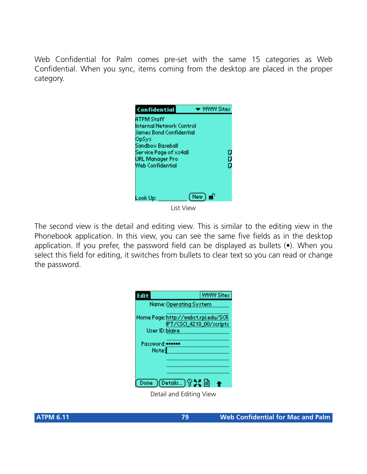Web Confidential for Palm comes pre-set with the same 15 categories as Web Confidential. When you sync, items coming from the desktop are placed in the proper category.

| Confidential                                                                                                                                                                  | <b>WWW Sites</b> |
|-------------------------------------------------------------------------------------------------------------------------------------------------------------------------------|------------------|
| <b>ATPM Staff</b><br>Internal Network Control<br>Uames Bond Confidential<br>OpSys<br>Sandbox Baseball<br>Service Page of xs4all<br><b>URL Manager Pro</b><br>Web Confidential | D<br>Ò           |
| (New)∎P<br>Look Up:<br>.                                                                                                                                                      |                  |

List View

The second view is the detail and editing view. This is similar to the editing view in the Phonebook application. In this view, you can see the same five fields as in the desktop application. If you prefer, the password field can be displayed as bullets (•). When you select this field for editing, it switches from bullets to clear text so you can read or change the password.

| Edit                                                   | WW Sites                 |
|--------------------------------------------------------|--------------------------|
| Name: Operating System                                 |                          |
| Home Page: http://webct.rpi.edu/SCR<br>User ID: blaire | IPT/CSCI_4210_00/scripts |
|                                                        |                          |
| Password:<br>Note:                                     |                          |
|                                                        |                          |
| Done ) (Details) ? 2: 自                                |                          |

Detail and Editing View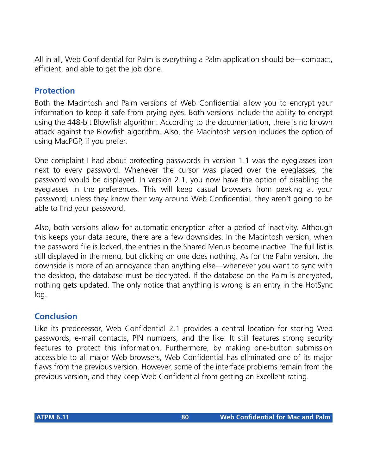All in all, Web Confidential for Palm is everything a Palm application should be—compact, efficient, and able to get the job done.

### **Protection**

Both the Macintosh and Palm versions of Web Confidential allow you to encrypt your information to keep it safe from prying eyes. Both versions include the ability to encrypt using the 448-bit Blowfish algorithm. According to the documentation, there is no known attack against the Blowfish algorithm. Also, the Macintosh version includes the option of using MacPGP, if you prefer.

One complaint I had about protecting passwords in version 1.1 was the eyeglasses icon next to every password. Whenever the cursor was placed over the eyeglasses, the password would be displayed. In version 2.1, you now have the option of disabling the eyeglasses in the preferences. This will keep casual browsers from peeking at your password; unless they know their way around Web Confidential, they aren't going to be able to find your password.

Also, both versions allow for automatic encryption after a period of inactivity. Although this keeps your data secure, there are a few downsides. In the Macintosh version, when the password file is locked, the entries in the Shared Menus become inactive. The full list is still displayed in the menu, but clicking on one does nothing. As for the Palm version, the downside is more of an annoyance than anything else—whenever you want to sync with the desktop, the database must be decrypted. If the database on the Palm is encrypted, nothing gets updated. The only notice that anything is wrong is an entry in the HotSync log.

# **Conclusion**

Like its predecessor, Web Confidential 2.1 provides a central location for storing Web passwords, e-mail contacts, PIN numbers, and the like. It still features strong security features to protect this information. Furthermore, by making one-button submission accessible to all major Web browsers, Web Confidential has eliminated one of its major flaws from the previous version. However, some of the interface problems remain from the previous version, and they keep Web Confidential from getting an Excellent rating.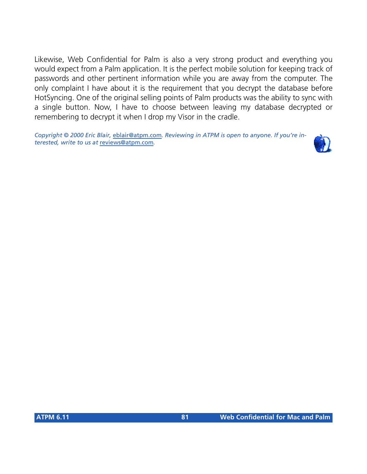Likewise, Web Confidential for Palm is also a very strong product and everything you would expect from a Palm application. It is the perfect mobile solution for keeping track of passwords and other pertinent information while you are away from the computer. The only complaint I have about it is the requirement that you decrypt the database before HotSyncing. One of the original selling points of Palm products was the ability to sync with a single button. Now, I have to choose between leaving my database decrypted or remembering to decrypt it when I drop my Visor in the cradle.

*Copyright © 2000 Eric Blair,* [eblair@atpm.com](mailto:eblair@atpm.com)*. Reviewing in ATPM is open to anyone. If you're interested, write to us at* [reviews@atpm.com](mailto:reviews@atpm.com)*.*

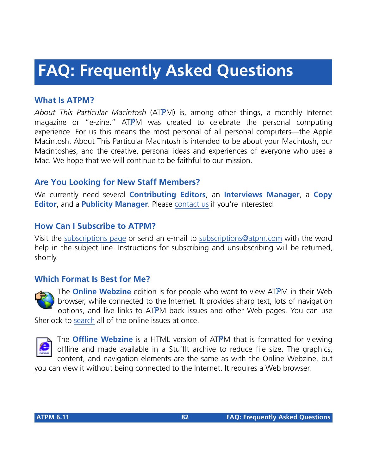# **FAQ: Frequently Asked Questions**

# **What Is ATPM?**

*About This Particular Macintosh* (ATPM) is, among other things, a monthly Internet magazine or "e-zine." ATPM was created to celebrate the personal computing experience. For us this means the most personal of all personal computers—the Apple Macintosh. About This Particular Macintosh is intended to be about your Macintosh, our Macintoshes, and the creative, personal ideas and experiences of everyone who uses a Mac. We hope that we will continue to be faithful to our mission.

# **Are You Looking for New Staff Members?**

We currently need several **Contributing Editors**, an **Interviews Manager**, a **Copy Editor**, and a **Publicity Manager**. Please [contact us](mailto:editor@atpm.com) if you're interested.

### **How Can I Subscribe to ATPM?**

Visit the [subscriptions page](http://www.atpm.com/subscribe) or send an e-mail to [subscriptions@atpm.com](mailto:subscriptions@atpm.com) with the word help in the subject line. Instructions for subscribing and unsubscribing will be returned, shortly.

#### **Which Format Is Best for Me?**



The **Online Webzine** edition is for people who want to view ATPM in their Web browser, while connected to the Internet. It provides sharp text, lots of navigation options, and live links to ATPM back issues and other Web pages. You can use Sherlock to [search](http://www.atpm.com/search) all of the online issues at once.



The **Offline Webzine** is a HTML version of ATPM that is formatted for viewing offline and made available in a StuffIt archive to reduce file size. The graphics, content, and navigation elements are the same as with the Online Webzine, but

you can view it without being connected to the Internet. It requires a Web browser.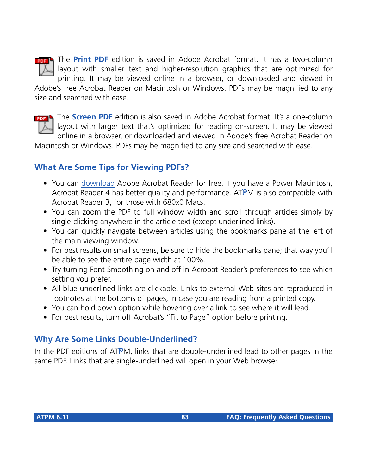

The **Print PDF** edition is saved in Adobe Acrobat format. It has a two-column layout with smaller text and higher-resolution graphics that are optimized for printing. It may be viewed online in a browser, or downloaded and viewed in

Adobe's free Acrobat Reader on Macintosh or Windows. PDFs may be magnified to any size and searched with ease.



The **Screen PDF** edition is also saved in Adobe Acrobat format. It's a one-column layout with larger text that's optimized for reading on-screen. It may be viewed online in a browser, or downloaded and viewed in Adobe's free Acrobat Reader on

Macintosh or Windows. PDFs may be magnified to any size and searched with ease.

# **What Are Some Tips for Viewing PDFs?**

- You can [download](http://www.adobe.com/prodindex/acrobat/readstep.html) Adobe Acrobat Reader for free. If you have a Power Macintosh, Acrobat Reader 4 has better quality and performance. ATPM is also compatible with Acrobat Reader 3, for those with 680x0 Macs.
- You can zoom the PDF to full window width and scroll through articles simply by single-clicking anywhere in the article text (except underlined links).
- You can quickly navigate between articles using the bookmarks pane at the left of the main viewing window.
- For best results on small screens, be sure to hide the bookmarks pane; that way you'll be able to see the entire page width at 100%.
- Try turning Font Smoothing on and off in Acrobat Reader's preferences to see which setting you prefer.
- All blue-underlined links are clickable. Links to external Web sites are reproduced in footnotes at the bottoms of pages, in case you are reading from a printed copy.
- You can hold down option while hovering over a link to see where it will lead.
- For best results, turn off Acrobat's "Fit to Page" option before printing.

# **Why Are Some Links Double-Underlined?**

In the PDF editions of ATPM, links that are double-underlined lead to other pages in the same PDF. Links that are single-underlined will open in your Web browser.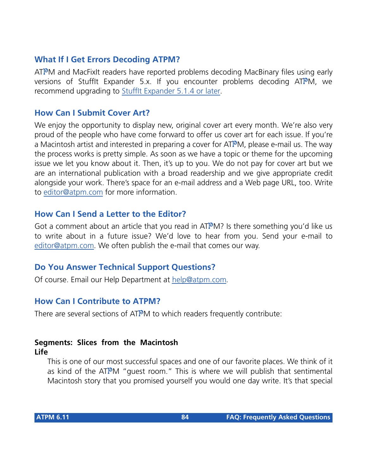### **What If I Get Errors Decoding ATPM?**

ATPM and MacFixIt readers have reported problems decoding MacBinary files using early versions of Stufflt Expander 5.x. If you encounter problems decoding ATPM, we recommend upgrading to [StuffIt Expander 5.1.4 or later](http://www.aladdinsys.com/expander/index.html).

#### **How Can I Submit Cover Art?**

We enjoy the opportunity to display new, original cover art every month. We're also very proud of the people who have come forward to offer us cover art for each issue. If you're a Macintosh artist and interested in preparing a cover for ATPM, please e-mail us. The way the process works is pretty simple. As soon as we have a topic or theme for the upcoming issue we let you know about it. Then, it's up to you. We do not pay for cover art but we are an international publication with a broad readership and we give appropriate credit alongside your work. There's space for an e-mail address and a Web page URL, too. Write to [editor@atpm.com](mailto:editor@atpm.com) for more information.

#### **How Can I Send a Letter to the Editor?**

Got a comment about an article that you read in  $ATPM$ ? Is there something you'd like us to write about in a future issue? We'd love to hear from you. Send your e-mail to [editor@atpm.com.](mailto:editor@atpm.com) We often publish the e-mail that comes our way.

#### **Do You Answer Technical Support Questions?**

Of course. Email our Help Department at [help@atpm.com](mailto:help@atpm.com).

#### **How Can I Contribute to ATPM?**

There are several sections of ATPM to which readers frequently contribute:

#### **Segments: Slices from the Macintosh Life**

This is one of our most successful spaces and one of our favorite places. We think of it as kind of the ATPM "guest room." This is where we will publish that sentimental Macintosh story that you promised yourself you would one day write. It's that special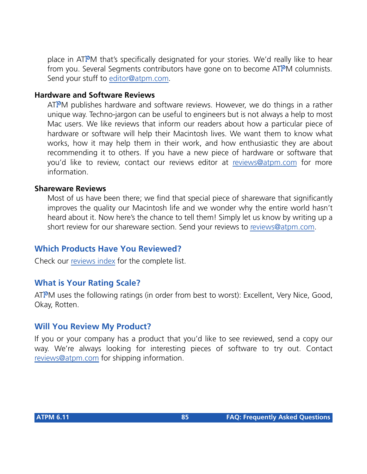place in ATPM that's specifically designated for your stories. We'd really like to hear from you. Several Segments contributors have gone on to become ATPM columnists. Send your stuff to [editor@atpm.com](mailto:editor@atpm.com).

#### **Hardware and Software Reviews**

ATPM publishes hardware and software reviews. However, we do things in a rather unique way. Techno-jargon can be useful to engineers but is not always a help to most Mac users. We like reviews that inform our readers about how a particular piece of hardware or software will help their Macintosh lives. We want them to know what works, how it may help them in their work, and how enthusiastic they are about recommending it to others. If you have a new piece of hardware or software that you'd like to review, contact our reviews editor at [reviews@atpm.com](mailto:reviews@atpm.com) for more information.

#### **Shareware Reviews**

Most of us have been there; we find that special piece of shareware that significantly improves the quality our Macintosh life and we wonder why the entire world hasn't heard about it. Now here's the chance to tell them! Simply let us know by writing up a short review for our shareware section. Send your reviews to [reviews@atpm.com.](mailto:reviews@atpm.com)

#### **Which Products Have You Reviewed?**

Check our [reviews index](http://www.atpm.com/reviews) for the complete list.

#### **What is Your Rating Scale?**

ATPM uses the following ratings (in order from best to worst): Excellent, Very Nice, Good, Okay, Rotten.

#### **Will You Review My Product?**

If you or your company has a product that you'd like to see reviewed, send a copy our way. We're always looking for interesting pieces of software to try out. Contact [reviews@atpm.com](mailto:reviews@atpm.com) for shipping information.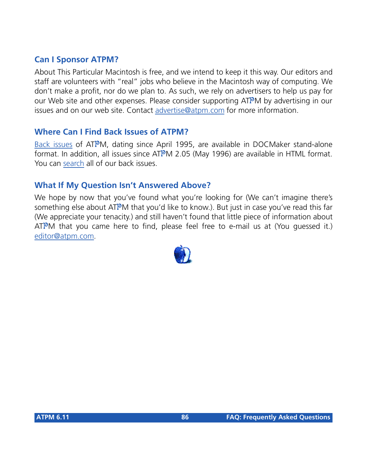#### **Can I Sponsor ATPM?**

About This Particular Macintosh is free, and we intend to keep it this way. Our editors and staff are volunteers with "real" jobs who believe in the Macintosh way of computing. We don't make a profit, nor do we plan to. As such, we rely on advertisers to help us pay for our Web site and other expenses. Please consider supporting ATPM by advertising in our issues and on our web site. Contact<advertise@atpm.com>for more information.

#### **Where Can I Find Back Issues of ATPM?**

[Back issues](http://www.atpm.com/Back/) of ATPM, dating since April 1995, are available in DOCMaker stand-alone format. In addition, all issues since ATPM 2.05 (May 1996) are available in HTML format. You can [search](http://www.atpm.com/search) all of our back issues.

#### **What If My Question Isn't Answered Above?**

We hope by now that you've found what you're looking for (We can't imagine there's something else about ATPM that you'd like to know.). But just in case you've read this far (We appreciate your tenacity.) and still haven't found that little piece of information about  $ATPM$  that you came here to find, please feel free to e-mail us at (You guessed it.) [editor@atpm.com.](mailto:editor@atpm.com)

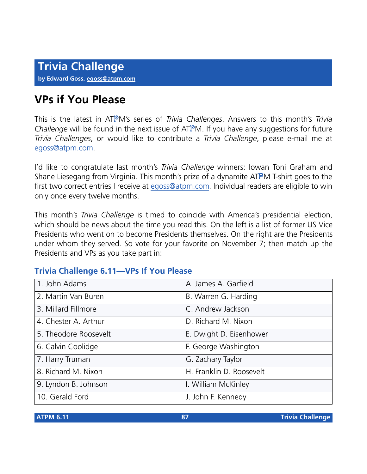# **VPs if You Please**

This is the latest in ATPM's series of *Trivia Challenges*. Answers to this month's *Trivia Challenge* will be found in the next issue of ATPM. If you have any suggestions for future *Trivia Challenges*, or would like to contribute a *Trivia Challenge*, please e-mail me at [egoss@atpm.com](mailto:egoss@atpm.com).

I'd like to congratulate last month's *Trivia Challenge* winners: Iowan Toni Graham and Shane Liesegang from Virginia. This month's prize of a dynamite ATPM T-shirt goes to the first two correct entries I receive at [egoss@atpm.com.](mailto:egoss@atpm.com) Individual readers are eligible to win only once every twelve months.

This month's *Trivia Challenge* is timed to coincide with America's presidential election, which should be news about the time you read this. On the left is a list of former US Vice Presidents who went on to become Presidents themselves. On the right are the Presidents under whom they served. So vote for your favorite on November 7; then match up the Presidents and VPs as you take part in:

# **Trivia Challenge 6.11—VPs If You Please**

| 1. John Adams         | A. James A. Garfield     |
|-----------------------|--------------------------|
| 2. Martin Van Buren   | B. Warren G. Harding     |
| 3. Millard Fillmore   | C. Andrew Jackson        |
| 4. Chester A. Arthur  | D. Richard M. Nixon      |
| 5. Theodore Roosevelt | E. Dwight D. Eisenhower  |
| 6. Calvin Coolidge    | F. George Washington     |
| 7. Harry Truman       | G. Zachary Taylor        |
| 8. Richard M. Nixon   | H. Franklin D. Roosevelt |
| 9. Lyndon B. Johnson  | I. William McKinley      |
| 10. Gerald Ford       | J. John F. Kennedy       |